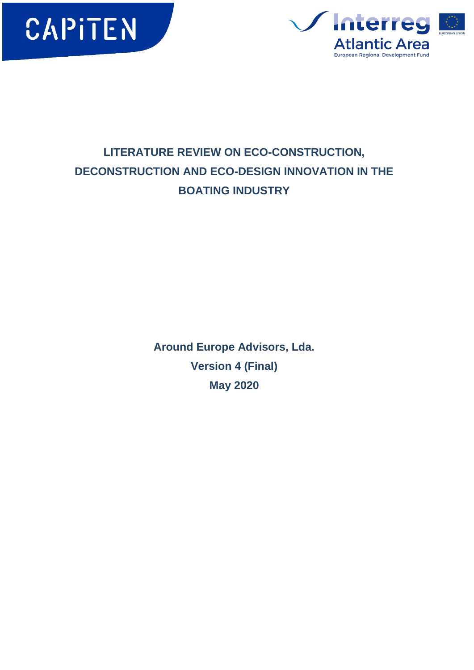



# **LITERATURE REVIEW ON ECO-CONSTRUCTION, DECONSTRUCTION AND ECO-DESIGN INNOVATION IN THE BOATING INDUSTRY**

**Around Europe Advisors, Lda. Version 4 (Final) May 2020**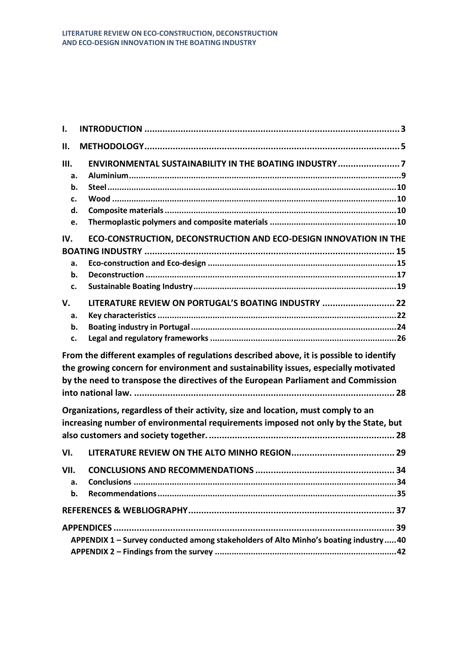| Ι.                               |                                                                                                                                                                                                                                                                    |
|----------------------------------|--------------------------------------------------------------------------------------------------------------------------------------------------------------------------------------------------------------------------------------------------------------------|
| н.                               |                                                                                                                                                                                                                                                                    |
| Ш.<br>a.<br>b.<br>c.<br>d.<br>e. | ENVIRONMENTAL SUSTAINABILITY IN THE BOATING INDUSTRY 7                                                                                                                                                                                                             |
| IV.<br>a.<br>b.<br>c.            | ECO-CONSTRUCTION, DECONSTRUCTION AND ECO-DESIGN INNOVATION IN THE                                                                                                                                                                                                  |
| V.<br>a.<br>b.<br>c.             | LITERATURE REVIEW ON PORTUGAL'S BOATING INDUSTRY  22                                                                                                                                                                                                               |
|                                  | From the different examples of regulations described above, it is possible to identify<br>the growing concern for environment and sustainability issues, especially motivated<br>by the need to transpose the directives of the European Parliament and Commission |
|                                  | Organizations, regardless of their activity, size and location, must comply to an<br>increasing number of environmental requirements imposed not only by the State, but                                                                                            |
| VI.                              |                                                                                                                                                                                                                                                                    |
| VII.<br>a.<br>b.                 |                                                                                                                                                                                                                                                                    |
|                                  |                                                                                                                                                                                                                                                                    |
|                                  | APPENDIX 1 - Survey conducted among stakeholders of Alto Minho's boating industry40                                                                                                                                                                                |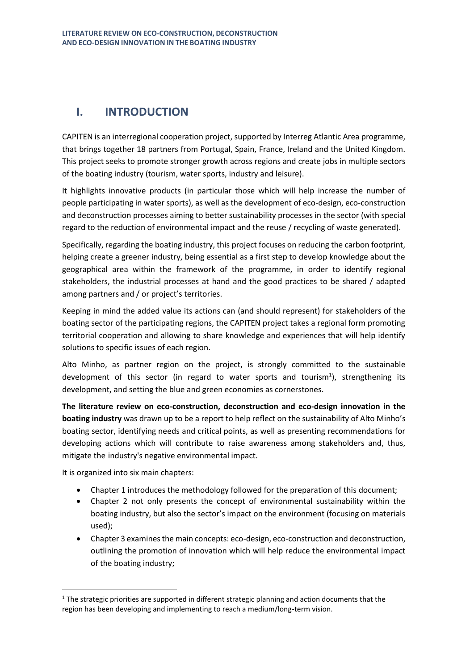# <span id="page-2-0"></span>**I. INTRODUCTION**

CAPITEN is an interregional cooperation project, supported by Interreg Atlantic Area programme, that brings together 18 partners from Portugal, Spain, France, Ireland and the United Kingdom. This project seeks to promote stronger growth across regions and create jobs in multiple sectors of the boating industry (tourism, water sports, industry and leisure).

It highlights innovative products (in particular those which will help increase the number of people participating in water sports), as well as the development of eco-design, eco-construction and deconstruction processes aiming to better sustainability processes in the sector (with special regard to the reduction of environmental impact and the reuse / recycling of waste generated).

Specifically, regarding the boating industry, this project focuses on reducing the carbon footprint, helping create a greener industry, being essential as a first step to develop knowledge about the geographical area within the framework of the programme, in order to identify regional stakeholders, the industrial processes at hand and the good practices to be shared / adapted among partners and / or project's territories.

Keeping in mind the added value its actions can (and should represent) for stakeholders of the boating sector of the participating regions, the CAPITEN project takes a regional form promoting territorial cooperation and allowing to share knowledge and experiences that will help identify solutions to specific issues of each region.

Alto Minho, as partner region on the project, is strongly committed to the sustainable development of this sector (in regard to water sports and tourism<sup>1</sup>), strengthening its development, and setting the blue and green economies as cornerstones.

**The literature review on eco-construction, deconstruction and eco-design innovation in the boating industry** was drawn up to be a report to help reflect on the sustainability of Alto Minho's boating sector, identifying needs and critical points, as well as presenting recommendations for developing actions which will contribute to raise awareness among stakeholders and, thus, mitigate the industry's negative environmental impact.

It is organized into six main chapters:

- Chapter 1 introduces the methodology followed for the preparation of this document;
- Chapter 2 not only presents the concept of environmental sustainability within the boating industry, but also the sector's impact on the environment (focusing on materials used);
- Chapter 3 examines the main concepts: eco-design, eco-construction and deconstruction, outlining the promotion of innovation which will help reduce the environmental impact of the boating industry;

 $1$  The strategic priorities are supported in different strategic planning and action documents that the region has been developing and implementing to reach a medium/long-term vision.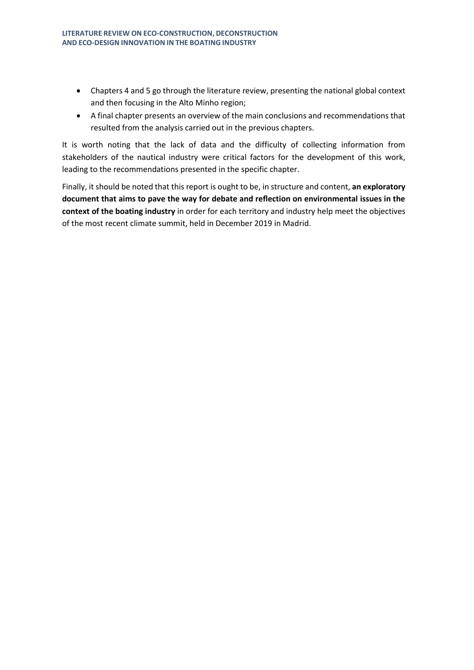- Chapters 4 and 5 go through the literature review, presenting the national global context and then focusing in the Alto Minho region;
- A final chapter presents an overview of the main conclusions and recommendations that resulted from the analysis carried out in the previous chapters.

It is worth noting that the lack of data and the difficulty of collecting information from stakeholders of the nautical industry were critical factors for the development of this work, leading to the recommendations presented in the specific chapter.

Finally, it should be noted that this report is ought to be, in structure and content, **an exploratory document that aims to pave the way for debate and reflection on environmental issues in the context of the boating industry** in order for each territory and industry help meet the objectives of the most recent climate summit, held in December 2019 in Madrid.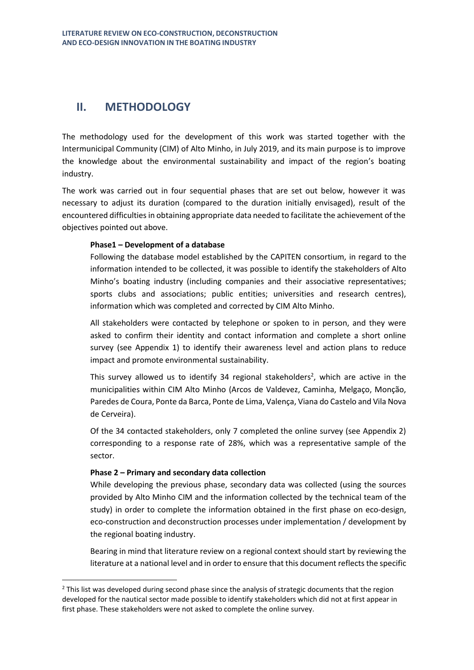## <span id="page-4-0"></span>**II. METHODOLOGY**

The methodology used for the development of this work was started together with the Intermunicipal Community (CIM) of Alto Minho, in July 2019, and its main purpose is to improve the knowledge about the environmental sustainability and impact of the region's boating industry.

The work was carried out in four sequential phases that are set out below, however it was necessary to adjust its duration (compared to the duration initially envisaged), result of the encountered difficulties in obtaining appropriate data needed to facilitate the achievement of the objectives pointed out above.

### **Phase1 – Development of a database**

Following the database model established by the CAPITEN consortium, in regard to the information intended to be collected, it was possible to identify the stakeholders of Alto Minho's boating industry (including companies and their associative representatives; sports clubs and associations; public entities; universities and research centres), information which was completed and corrected by CIM Alto Minho.

All stakeholders were contacted by telephone or spoken to in person, and they were asked to confirm their identity and contact information and complete a short online survey (see Appendix 1) to identify their awareness level and action plans to reduce impact and promote environmental sustainability.

This survey allowed us to identify 34 regional stakeholders<sup>2</sup>, which are active in the municipalities within CIM Alto Minho (Arcos de Valdevez, Caminha, Melgaço, Monção, Paredes de Coura, Ponte da Barca, Ponte de Lima, Valença, Viana do Castelo and Vila Nova de Cerveira).

Of the 34 contacted stakeholders, only 7 completed the online survey (see Appendix 2) corresponding to a response rate of 28%, which was a representative sample of the sector.

### **Phase 2 – Primary and secondary data collection**

While developing the previous phase, secondary data was collected (using the sources provided by Alto Minho CIM and the information collected by the technical team of the study) in order to complete the information obtained in the first phase on eco-design, eco-construction and deconstruction processes under implementation / development by the regional boating industry.

Bearing in mind that literature review on a regional context should start by reviewing the literature at a national level and in order to ensure that this document reflects the specific

 $<sup>2</sup>$  This list was developed during second phase since the analysis of strategic documents that the region</sup> developed for the nautical sector made possible to identify stakeholders which did not at first appear in first phase. These stakeholders were not asked to complete the online survey.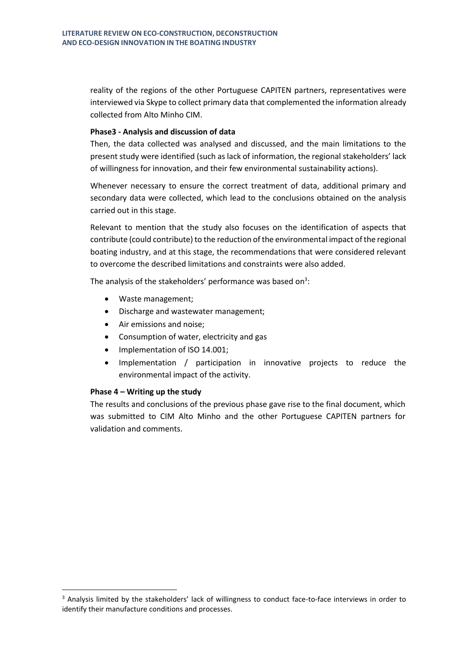reality of the regions of the other Portuguese CAPITEN partners, representatives were interviewed via Skype to collect primary data that complemented the information already collected from Alto Minho CIM.

### **Phase3 - Analysis and discussion of data**

Then, the data collected was analysed and discussed, and the main limitations to the present study were identified (such as lack of information, the regional stakeholders' lack of willingness for innovation, and their few environmental sustainability actions).

Whenever necessary to ensure the correct treatment of data, additional primary and secondary data were collected, which lead to the conclusions obtained on the analysis carried out in this stage.

Relevant to mention that the study also focuses on the identification of aspects that contribute (could contribute) to the reduction of the environmental impact of the regional boating industry, and at this stage, the recommendations that were considered relevant to overcome the described limitations and constraints were also added.

The analysis of the stakeholders' performance was based on<sup>3</sup>:

- Waste management;
- Discharge and wastewater management;
- Air emissions and noise;
- Consumption of water, electricity and gas
- Implementation of ISO 14.001;
- Implementation / participation in innovative projects to reduce the environmental impact of the activity.

### **Phase 4 – Writing up the study**

The results and conclusions of the previous phase gave rise to the final document, which was submitted to CIM Alto Minho and the other Portuguese CAPITEN partners for validation and comments.

<sup>&</sup>lt;sup>3</sup> Analysis limited by the stakeholders' lack of willingness to conduct face-to-face interviews in order to identify their manufacture conditions and processes.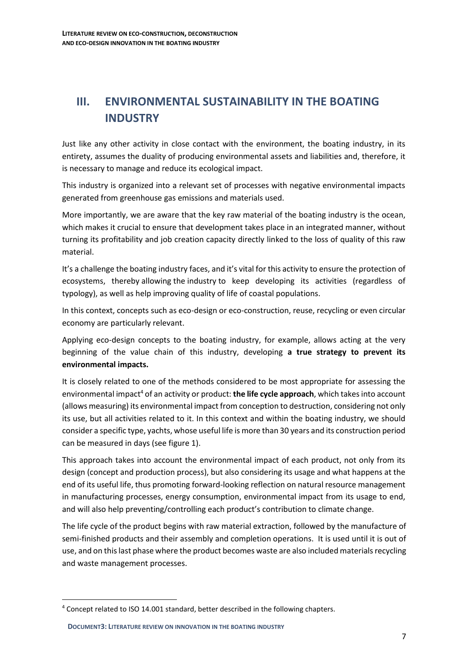# <span id="page-6-0"></span>**III. ENVIRONMENTAL SUSTAINABILITY IN THE BOATING INDUSTRY**

Just like any other activity in close contact with the environment, the boating industry, in its entirety, assumes the duality of producing environmental assets and liabilities and, therefore, it is necessary to manage and reduce its ecological impact.

This industry is organized into a relevant set of processes with negative environmental impacts generated from greenhouse gas emissions and materials used.

More importantly, we are aware that the key raw material of the boating industry is the ocean, which makes it crucial to ensure that development takes place in an integrated manner, without turning its profitability and job creation capacity directly linked to the loss of quality of this raw material.

It's a challenge the boating industry faces, and it's vital for this activity to ensure the protection of ecosystems, thereby allowing the industry to keep developing its activities (regardless of typology), as well as help improving quality of life of coastal populations.

In this context, concepts such as eco-design or eco-construction, reuse, recycling or even circular economy are particularly relevant.

Applying eco-design concepts to the boating industry, for example, allows acting at the very beginning of the value chain of this industry, developing **a true strategy to prevent its environmental impacts.**

It is closely related to one of the methods considered to be most appropriate for assessing the environmental impact<sup>4</sup> of an activity or product: **the life cycle approach**, which takes into account (allows measuring) its environmental impact from conception to destruction, considering not only its use, but all activities related to it. In this context and within the boating industry, we should consider a specific type, yachts, whose useful life is more than 30 years and its construction period can be measured in days (see figure 1).

This approach takes into account the environmental impact of each product, not only from its design (concept and production process), but also considering its usage and what happens at the end of its useful life, thus promoting forward-looking reflection on natural resource management in manufacturing processes, energy consumption, environmental impact from its usage to end, and will also help preventing/controlling each product's contribution to climate change.

The life cycle of the product begins with raw material extraction, followed by the manufacture of semi-finished products and their assembly and completion operations. It is used until it is out of use, and on this last phase where the product becomes waste are also included materials recycling and waste management processes.

<sup>4</sup> Concept related to ISO 14.001 standard, better described in the following chapters.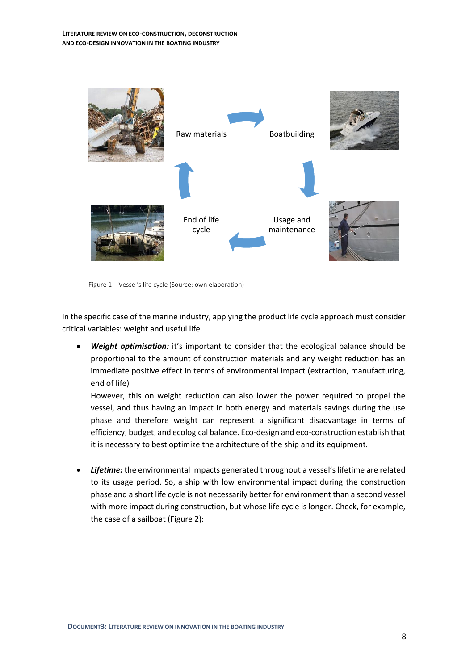

Figure 1 – Vessel's life cycle (Source: own elaboration)

In the specific case of the marine industry, applying the product life cycle approach must consider critical variables: weight and useful life.

• *Weight optimisation:* it's important to consider that the ecological balance should be proportional to the amount of construction materials and any weight reduction has an immediate positive effect in terms of environmental impact (extraction, manufacturing, end of life)

However, this on weight reduction can also lower the power required to propel the vessel, and thus having an impact in both energy and materials savings during the use phase and therefore weight can represent a significant disadvantage in terms of efficiency, budget, and ecological balance. Eco-design and eco-construction establish that it is necessary to best optimize the architecture of the ship and its equipment.

• *Lifetime:* the environmental impacts generated throughout a vessel's lifetime are related to its usage period. So, a ship with low environmental impact during the construction phase and a short life cycle is not necessarily better for environment than a second vessel with more impact during construction, but whose life cycle is longer. Check, for example, the case of a sailboat (Figure 2):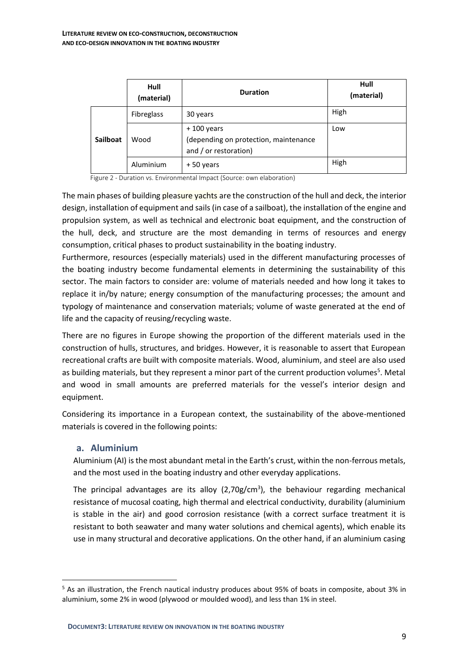|                 | Hull<br>(material) | <b>Duration</b>                                                                | Hull<br>(material) |
|-----------------|--------------------|--------------------------------------------------------------------------------|--------------------|
| <b>Sailboat</b> | Fibreglass         | 30 years                                                                       | High               |
|                 | Wood               | $+100$ years<br>(depending on protection, maintenance<br>and / or restoration) | Low                |
|                 | Aluminium          | +50 years                                                                      | High               |

Figure 2 - Duration vs. Environmental Impact (Source: own elaboration)

The main phases of building pleasure yachts are the construction of the hull and deck, the interior design, installation of equipment and sails (in case of a sailboat), the installation of the engine and propulsion system, as well as technical and electronic boat equipment, and the construction of the hull, deck, and structure are the most demanding in terms of resources and energy consumption, critical phases to product sustainability in the boating industry.

Furthermore, resources (especially materials) used in the different manufacturing processes of the boating industry become fundamental elements in determining the sustainability of this sector. The main factors to consider are: volume of materials needed and how long it takes to replace it in/by nature; energy consumption of the manufacturing processes; the amount and typology of maintenance and conservation materials; volume of waste generated at the end of life and the capacity of reusing/recycling waste.

There are no figures in Europe showing the proportion of the different materials used in the construction of hulls, structures, and bridges. However, it is reasonable to assert that European recreational crafts are built with composite materials. Wood, aluminium, and steel are also used as building materials, but they represent a minor part of the current production volumes<sup>5</sup>. Metal and wood in small amounts are preferred materials for the vessel's interior design and equipment.

Considering its importance in a European context, the sustainability of the above-mentioned materials is covered in the following points:

## <span id="page-8-0"></span>**a. Aluminium**

Aluminium (AI) is the most abundant metal in the Earth's crust, within the non-ferrous metals, and the most used in the boating industry and other everyday applications.

The principal advantages are its alloy  $(2,70g/cm<sup>3</sup>)$ , the behaviour regarding mechanical resistance of mucosal coating, high thermal and electrical conductivity, durability (aluminium is stable in the air) and good corrosion resistance (with a correct surface treatment it is resistant to both seawater and many water solutions and chemical agents), which enable its use in many structural and decorative applications. On the other hand, if an aluminium casing

<sup>5</sup> As an illustration, the French nautical industry produces about 95% of boats in composite, about 3% in aluminium, some 2% in wood (plywood or moulded wood), and less than 1% in steel.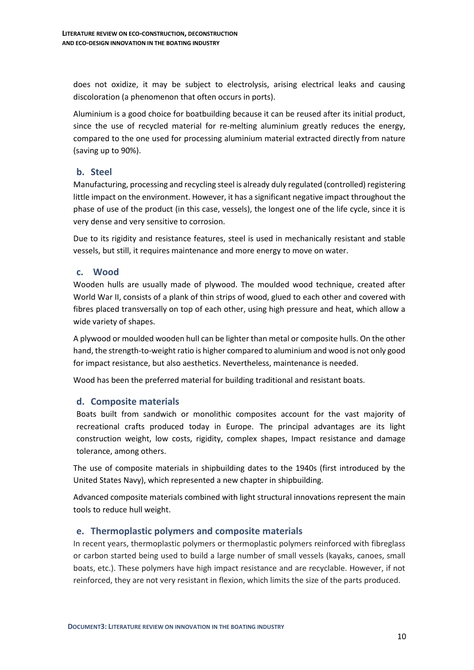does not oxidize, it may be subject to electrolysis, arising electrical leaks and causing discoloration (a phenomenon that often occurs in ports).

Aluminium is a good choice for boatbuilding because it can be reused after its initial product, since the use of recycled material for re-melting aluminium greatly reduces the energy, compared to the one used for processing aluminium material extracted directly from nature (saving up to 90%).

## <span id="page-9-0"></span>**b. Steel**

Manufacturing, processing and recycling steel is already duly regulated (controlled) registering little impact on the environment. However, it has a significant negative impact throughout the phase of use of the product (in this case, vessels), the longest one of the life cycle, since it is very dense and very sensitive to corrosion.

Due to its rigidity and resistance features, steel is used in mechanically resistant and stable vessels, but still, it requires maintenance and more energy to move on water.

## <span id="page-9-1"></span>**c. Wood**

Wooden hulls are usually made of plywood. The moulded wood technique, created after World War II, consists of a plank of thin strips of wood, glued to each other and covered with fibres placed transversally on top of each other, using high pressure and heat, which allow a wide variety of shapes.

A plywood or moulded wooden hull can be lighter than metal or composite hulls. On the other hand, the strength-to-weight ratio is higher compared to aluminium and wood is not only good for impact resistance, but also aesthetics. Nevertheless, maintenance is needed.

Wood has been the preferred material for building traditional and resistant boats.

## <span id="page-9-2"></span>**d. Composite materials**

Boats built from sandwich or monolithic composites account for the vast majority of recreational crafts produced today in Europe. The principal advantages are its light construction weight, low costs, rigidity, complex shapes, Impact resistance and damage tolerance, among others.

The use of composite materials in shipbuilding dates to the 1940s (first introduced by the United States Navy), which represented a new chapter in shipbuilding.

Advanced composite materials combined with light structural innovations represent the main tools to reduce hull weight.

## <span id="page-9-3"></span>**e. Thermoplastic polymers and composite materials**

In recent years, thermoplastic polymers or thermoplastic polymers reinforced with fibreglass or carbon started being used to build a large number of small vessels (kayaks, canoes, small boats, etc.). These polymers have high impact resistance and are recyclable. However, if not reinforced, they are not very resistant in flexion, which limits the size of the parts produced.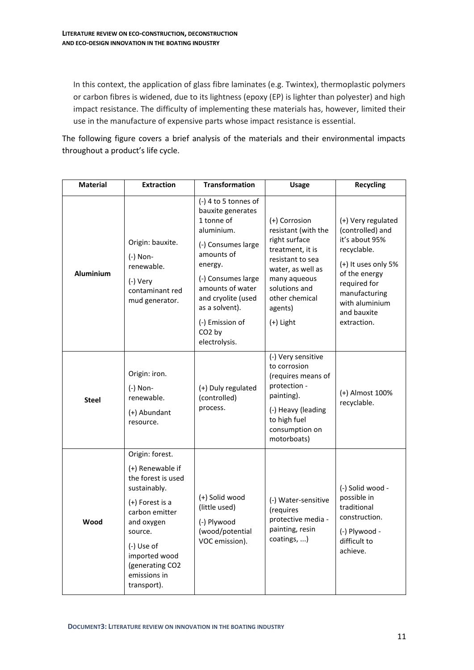In this context, the application of glass fibre laminates (e.g. Twintex), thermoplastic polymers or carbon fibres is widened, due to its lightness (epoxy (EP) is lighter than polyester) and high impact resistance. The difficulty of implementing these materials has, however, limited their use in the manufacture of expensive parts whose impact resistance is essential.

The following figure covers a brief analysis of the materials and their environmental impacts throughout a product's life cycle.

| <b>Material</b>  | <b>Extraction</b>                                                                                                                                                                                                        | <b>Transformation</b>                                                                                                                                                                                                                                            | <b>Usage</b>                                                                                                                                                                                    | <b>Recycling</b>                                                                                                                                                                                 |
|------------------|--------------------------------------------------------------------------------------------------------------------------------------------------------------------------------------------------------------------------|------------------------------------------------------------------------------------------------------------------------------------------------------------------------------------------------------------------------------------------------------------------|-------------------------------------------------------------------------------------------------------------------------------------------------------------------------------------------------|--------------------------------------------------------------------------------------------------------------------------------------------------------------------------------------------------|
| <b>Aluminium</b> | Origin: bauxite.<br>(-) Non-<br>renewable.<br>(-) Very<br>contaminant red<br>mud generator.                                                                                                                              | (-) 4 to 5 tonnes of<br>bauxite generates<br>1 tonne of<br>aluminium.<br>(-) Consumes large<br>amounts of<br>energy.<br>(-) Consumes large<br>amounts of water<br>and cryolite (used<br>as a solvent).<br>(-) Emission of<br>CO <sub>2</sub> by<br>electrolysis. | (+) Corrosion<br>resistant (with the<br>right surface<br>treatment, it is<br>resistant to sea<br>water, as well as<br>many aqueous<br>solutions and<br>other chemical<br>agents)<br>$(+)$ Light | (+) Very regulated<br>(controlled) and<br>it's about 95%<br>recyclable.<br>(+) It uses only 5%<br>of the energy<br>required for<br>manufacturing<br>with aluminium<br>and bauxite<br>extraction. |
| <b>Steel</b>     | Origin: iron.<br>(-) Non-<br>renewable.<br>(+) Abundant<br>resource.                                                                                                                                                     | (+) Duly regulated<br>(controlled)<br>process.                                                                                                                                                                                                                   | (-) Very sensitive<br>to corrosion<br>(requires means of<br>protection -<br>painting).<br>(-) Heavy (leading<br>to high fuel<br>consumption on<br>motorboats)                                   | (+) Almost 100%<br>recyclable.                                                                                                                                                                   |
| Wood             | Origin: forest.<br>(+) Renewable if<br>the forest is used<br>sustainably.<br>(+) Forest is a<br>carbon emitter<br>and oxygen<br>source.<br>(-) Use of<br>imported wood<br>(generating CO2<br>emissions in<br>transport). | (+) Solid wood<br>(little used)<br>(-) Plywood<br>(wood/potential<br>VOC emission).                                                                                                                                                                              | (-) Water-sensitive<br>(requires<br>protective media -<br>painting, resin<br>coatings, )                                                                                                        | (-) Solid wood -<br>possible in<br>traditional<br>construction.<br>(-) Plywood -<br>difficult to<br>achieve.                                                                                     |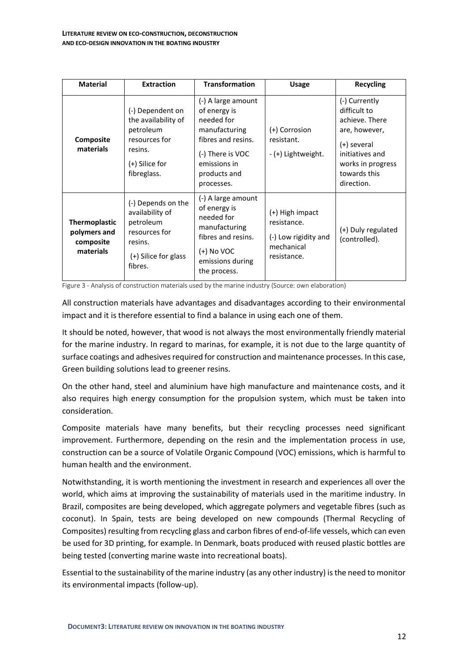| <b>Material</b>                                                | <b>Extraction</b>                                                                                                 | <b>Transformation</b>                                                                                                                                     | <b>Usage</b>                                                                        | <b>Recycling</b>                                                                                                                                      |
|----------------------------------------------------------------|-------------------------------------------------------------------------------------------------------------------|-----------------------------------------------------------------------------------------------------------------------------------------------------------|-------------------------------------------------------------------------------------|-------------------------------------------------------------------------------------------------------------------------------------------------------|
| Composite<br>materials                                         | (-) Dependent on<br>the availability of<br>petroleum<br>resources for<br>resins.<br>(+) Silice for<br>fibreglass. | (-) A large amount<br>of energy is<br>needed for<br>manufacturing<br>fibres and resins.<br>(-) There is VOC<br>emissions in<br>products and<br>processes. | (+) Corrosion<br>resistant.<br>- (+) Lightweight.                                   | (-) Currently<br>difficult to<br>achieve. There<br>are, however,<br>(+) several<br>initiatives and<br>works in progress<br>towards this<br>direction. |
| <b>Thermoplastic</b><br>polymers and<br>composite<br>materials | (-) Depends on the<br>availability of<br>petroleum<br>resources for<br>resins.<br>(+) Silice for glass<br>fibres. | (-) A large amount<br>of energy is<br>needed for<br>manufacturing<br>fibres and resins.<br>(+) No VOC<br>emissions during<br>the process.                 | (+) High impact<br>resistance.<br>(-) Low rigidity and<br>mechanical<br>resistance. | (+) Duly regulated<br>(controlled).                                                                                                                   |

Figure 3 - Analysis of construction materials used by the marine industry (Source: own elaboration)

All construction materials have advantages and disadvantages according to their environmental impact and it is therefore essential to find a balance in using each one of them.

It should be noted, however, that wood is not always the most environmentally friendly material for the marine industry. In regard to marinas, for example, it is not due to the large quantity of surface coatings and adhesives required for construction and maintenance processes. In this case, Green building solutions lead to greener resins.

On the other hand, steel and aluminium have high manufacture and maintenance costs, and it also requires high energy consumption for the propulsion system, which must be taken into consideration.

Composite materials have many benefits, but their recycling processes need significant improvement. Furthermore, depending on the resin and the implementation process in use, construction can be a source of Volatile Organic Compound (VOC) emissions, which is harmful to human health and the environment.

Notwithstanding, it is worth mentioning the investment in research and experiences all over the world, which aims at improving the sustainability of materials used in the maritime industry. In Brazil, composites are being developed, which aggregate polymers and vegetable fibres (such as coconut). In Spain, tests are being developed on new compounds (Thermal Recycling of Composites) resulting from recycling glass and carbon fibres of end-of-life vessels, which can even be used for 3D printing, for example. In Denmark, boats produced with reused plastic bottles are being tested (converting marine waste into recreational boats).

Essential to the sustainability of the marine industry (as any other industry) is the need to monitor its environmental impacts (follow-up).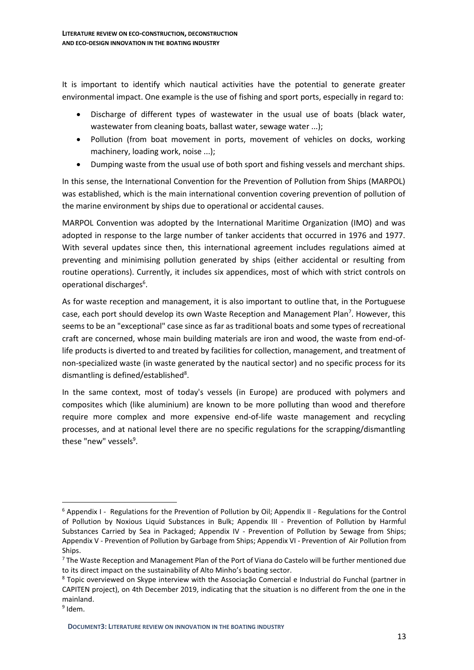It is important to identify which nautical activities have the potential to generate greater environmental impact. One example is the use of fishing and sport ports, especially in regard to:

- Discharge of different types of wastewater in the usual use of boats (black water, wastewater from cleaning boats, ballast water, sewage water ...);
- Pollution (from boat movement in ports, movement of vehicles on docks, working machinery, loading work, noise ...);
- Dumping waste from the usual use of both sport and fishing vessels and merchant ships.

In this sense, the International Convention for the Prevention of Pollution from Ships (MARPOL) was established, which is the main international convention covering prevention of pollution of the marine environment by ships due to operational or accidental causes.

MARPOL Convention was adopted by the International Maritime Organization (IMO) and was adopted in response to the large number of tanker accidents that occurred in 1976 and 1977. With several updates since then, this international agreement includes regulations aimed at preventing and minimising pollution generated by ships (either accidental or resulting from routine operations). Currently, it includes six appendices, most of which with strict controls on operational discharges<sup>6</sup>.

As for waste reception and management, it is also important to outline that, in the Portuguese case, each port should develop its own Waste Reception and Management Plan<sup>7</sup>. However, this seems to be an "exceptional" case since as far as traditional boats and some types of recreational craft are concerned, whose main building materials are iron and wood, the waste from end-oflife products is diverted to and treated by facilities for collection, management, and treatment of non-specialized waste (in waste generated by the nautical sector) and no specific process for its dismantling is defined/established<sup>8</sup>.

In the same context, most of today's vessels (in Europe) are produced with polymers and composites which (like aluminium) are known to be more polluting than wood and therefore require more complex and more expensive end-of-life waste management and recycling processes, and at national level there are no specific regulations for the scrapping/dismantling these "new" vessels<sup>9</sup>.

 $6$  Appendix I - Regulations for the Prevention of Pollution by Oil; Appendix II - Regulations for the Control of Pollution by Noxious Liquid Substances in Bulk; Appendix III - Prevention of Pollution by Harmful Substances Carried by Sea in Packaged; Appendix IV - Prevention of Pollution by Sewage from Ships; Appendix V - Prevention of Pollution by Garbage from Ships; Appendix VI - Prevention of Air Pollution from Ships.

<sup>&</sup>lt;sup>7</sup> The Waste Reception and Management Plan of the Port of Viana do Castelo will be further mentioned due to its direct impact on the sustainability of Alto Minho's boating sector.

<sup>8</sup> Topic overviewed on Skype interview with the Associação Comercial e Industrial do Funchal (partner in CAPITEN project), on 4th December 2019, indicating that the situation is no different from the one in the mainland.

<sup>&</sup>lt;sup>9</sup> Idem.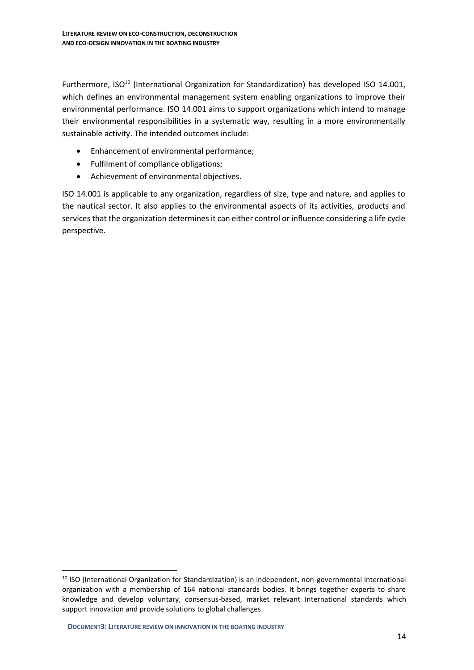Furthermore, ISO<sup>10</sup> (International Organization for Standardization) has developed ISO 14.001. which defines an environmental management system enabling organizations to improve their environmental performance. ISO 14.001 aims to support organizations which intend to manage their environmental responsibilities in a systematic way, resulting in a more environmentally sustainable activity. The intended outcomes include:

- Enhancement of environmental performance;
- Fulfilment of compliance obligations;
- Achievement of environmental objectives.

ISO 14.001 is applicable to any organization, regardless of size, type and nature, and applies to the nautical sector. It also applies to the environmental aspects of its activities, products and services that the organization determines it can either control or influence considering a life cycle perspective.

<sup>&</sup>lt;sup>10</sup> ISO (International Organization for Standardization) is an independent, non-governmental international organization with a membership of 164 national standards bodies. It brings together experts to share knowledge and develop voluntary, consensus-based, market relevant International standards which support innovation and provide solutions to global challenges.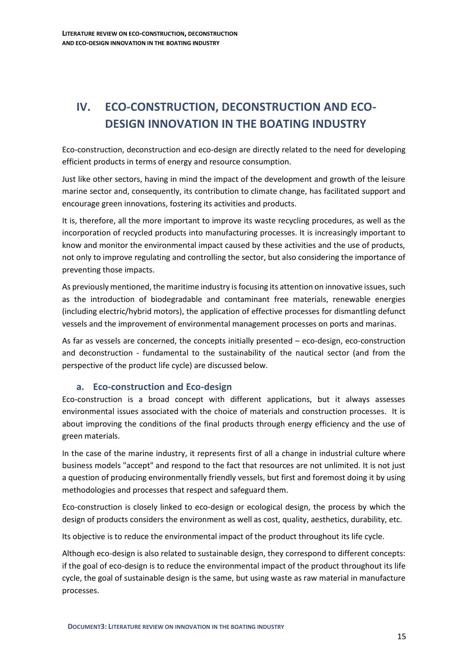# <span id="page-14-0"></span>**IV. ECO-CONSTRUCTION, DECONSTRUCTION AND ECO-DESIGN INNOVATION IN THE BOATING INDUSTRY**

Eco-construction, deconstruction and eco-design are directly related to the need for developing efficient products in terms of energy and resource consumption.

Just like other sectors, having in mind the impact of the development and growth of the leisure marine sector and, consequently, its contribution to climate change, has facilitated support and encourage green innovations, fostering its activities and products.

It is, therefore, all the more important to improve its waste recycling procedures, as well as the incorporation of recycled products into manufacturing processes. It is increasingly important to know and monitor the environmental impact caused by these activities and the use of products, not only to improve regulating and controlling the sector, but also considering the importance of preventing those impacts.

As previously mentioned, the maritime industry is focusing its attention on innovative issues, such as the introduction of biodegradable and contaminant free materials, renewable energies (including electric/hybrid motors), the application of effective processes for dismantling defunct vessels and the improvement of environmental management processes on ports and marinas.

As far as vessels are concerned, the concepts initially presented – eco-design, eco-construction and deconstruction - fundamental to the sustainability of the nautical sector (and from the perspective of the product life cycle) are discussed below.

## <span id="page-14-1"></span>**a. Eco-construction and Eco-design**

Eco-construction is a broad concept with different applications, but it always assesses environmental issues associated with the choice of materials and construction processes. It is about improving the conditions of the final products through energy efficiency and the use of green materials.

In the case of the marine industry, it represents first of all a change in industrial culture where business models "accept" and respond to the fact that resources are not unlimited. It is not just a question of producing environmentally friendly vessels, but first and foremost doing it by using methodologies and processes that respect and safeguard them.

Eco-construction is closely linked to eco-design or ecological design, the process by which the design of products considers the environment as well as cost, quality, aesthetics, durability, etc.

Its objective is to reduce the environmental impact of the product throughout its life cycle.

Although eco-design is also related to sustainable design, they correspond to different concepts: if the goal of eco-design is to reduce the environmental impact of the product throughout its life cycle, the goal of sustainable design is the same, but using waste as raw material in manufacture processes.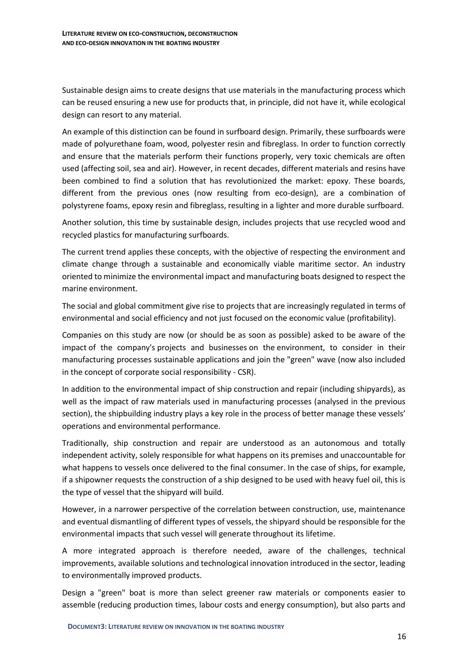Sustainable design aims to create designs that use materials in the manufacturing process which can be reused ensuring a new use for products that, in principle, did not have it, while ecological design can resort to any material.

An example of this distinction can be found in surfboard design. Primarily, these surfboards were made of polyurethane foam, wood, polyester resin and fibreglass. In order to function correctly and ensure that the materials perform their functions properly, very toxic chemicals are often used (affecting soil, sea and air). However, in recent decades, different materials and resins have been combined to find a solution that has revolutionized the market: epoxy. These boards, different from the previous ones (now resulting from eco-design), are a combination of polystyrene foams, epoxy resin and fibreglass, resulting in a lighter and more durable surfboard.

Another solution, this time by sustainable design, includes projects that use recycled wood and recycled plastics for manufacturing surfboards.

The current trend applies these concepts, with the objective of respecting the environment and climate change through a sustainable and economically viable maritime sector. An industry oriented to minimize the environmental impact and manufacturing boats designed to respect the marine environment.

The social and global commitment give rise to projects that are increasingly regulated in terms of environmental and social efficiency and not just focused on the economic value (profitability).

Companies on this study are now (or should be as soon as possible) asked to be aware of the impact of the company's projects and businesses on the environment, to consider in their manufacturing processes sustainable applications and join the "green" wave (now also included in the concept of corporate social responsibility - CSR).

In addition to the environmental impact of ship construction and repair (including shipyards), as well as the impact of raw materials used in manufacturing processes (analysed in the previous section), the shipbuilding industry plays a key role in the process of better manage these vessels' operations and environmental performance.

Traditionally, ship construction and repair are understood as an autonomous and totally independent activity, solely responsible for what happens on its premises and unaccountable for what happens to vessels once delivered to the final consumer. In the case of ships, for example, if a shipowner requests the construction of a ship designed to be used with heavy fuel oil, this is the type of vessel that the shipyard will build.

However, in a narrower perspective of the correlation between construction, use, maintenance and eventual dismantling of different types of vessels, the shipyard should be responsible for the environmental impacts that such vessel will generate throughout its lifetime.

A more integrated approach is therefore needed, aware of the challenges, technical improvements, available solutions and technological innovation introduced in the sector, leading to environmentally improved products.

Design a "green" boat is more than select greener raw materials or components easier to assemble (reducing production times, labour costs and energy consumption), but also parts and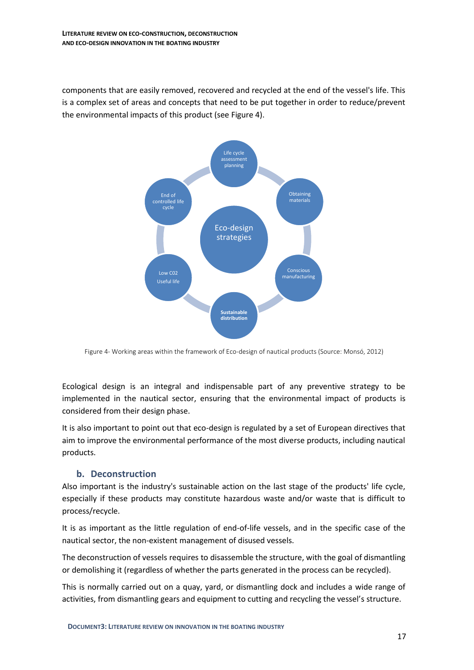components that are easily removed, recovered and recycled at the end of the vessel's life. This is a complex set of areas and concepts that need to be put together in order to reduce/prevent the environmental impacts of this product (see Figure 4).



Figure 4- Working areas within the framework of Eco-design of nautical products (Source: Monsó, 2012)

Ecological design is an integral and indispensable part of any preventive strategy to be implemented in the nautical sector, ensuring that the environmental impact of products is considered from their design phase.

It is also important to point out that eco-design is regulated by a set of European directives that aim to improve the environmental performance of the most diverse products, including nautical products.

## <span id="page-16-0"></span>**b. Deconstruction**

Also important is the industry's sustainable action on the last stage of the products' life cycle, especially if these products may constitute hazardous waste and/or waste that is difficult to process/recycle.

It is as important as the little regulation of end-of-life vessels, and in the specific case of the nautical sector, the non-existent management of disused vessels.

The deconstruction of vessels requires to disassemble the structure, with the goal of dismantling or demolishing it (regardless of whether the parts generated in the process can be recycled).

This is normally carried out on a quay, yard, or dismantling dock and includes a wide range of activities, from dismantling gears and equipment to cutting and recycling the vessel's structure.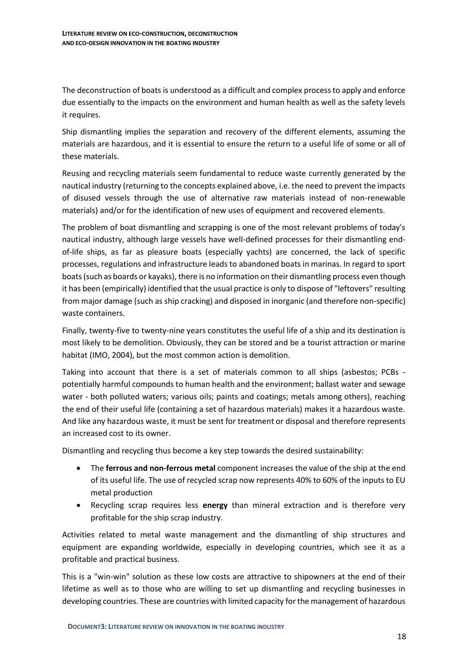The deconstruction of boats is understood as a difficult and complex process to apply and enforce due essentially to the impacts on the environment and human health as well as the safety levels it requires.

Ship dismantling implies the separation and recovery of the different elements, assuming the materials are hazardous, and it is essential to ensure the return to a useful life of some or all of these materials.

Reusing and recycling materials seem fundamental to reduce waste currently generated by the nautical industry (returning to the concepts explained above, i.e. the need to prevent the impacts of disused vessels through the use of alternative raw materials instead of non-renewable materials) and/or for the identification of new uses of equipment and recovered elements.

The problem of boat dismantling and scrapping is one of the most relevant problems of today's nautical industry, although large vessels have well-defined processes for their dismantling endof-life ships, as far as pleasure boats (especially yachts) are concerned, the lack of specific processes, regulations and infrastructure leads to abandoned boats in marinas. In regard to sport boats (such as boards or kayaks), there is no information on their dismantling process even though it has been (empirically) identified that the usual practice is only to dispose of "leftovers" resulting from major damage (such as ship cracking) and disposed in inorganic (and therefore non-specific) waste containers.

Finally, twenty-five to twenty-nine years constitutes the useful life of a ship and its destination is most likely to be demolition. Obviously, they can be stored and be a tourist attraction or marine habitat (IMO, 2004), but the most common action is demolition.

Taking into account that there is a set of materials common to all ships (asbestos; PCBs potentially harmful compounds to human health and the environment; ballast water and sewage water - both polluted waters; various oils; paints and coatings; metals among others), reaching the end of their useful life (containing a set of hazardous materials) makes it a hazardous waste. And like any hazardous waste, it must be sent for treatment or disposal and therefore represents an increased cost to its owner.

Dismantling and recycling thus become a key step towards the desired sustainability:

- The **ferrous and non-ferrous metal** component increases the value of the ship at the end of its useful life. The use of recycled scrap now represents 40% to 60% of the inputs to EU metal production
- Recycling scrap requires less **energy** than mineral extraction and is therefore very profitable for the ship scrap industry.

Activities related to metal waste management and the dismantling of ship structures and equipment are expanding worldwide, especially in developing countries, which see it as a profitable and practical business.

This is a "win-win" solution as these low costs are attractive to shipowners at the end of their lifetime as well as to those who are willing to set up dismantling and recycling businesses in developing countries. These are countries with limited capacity for the management of hazardous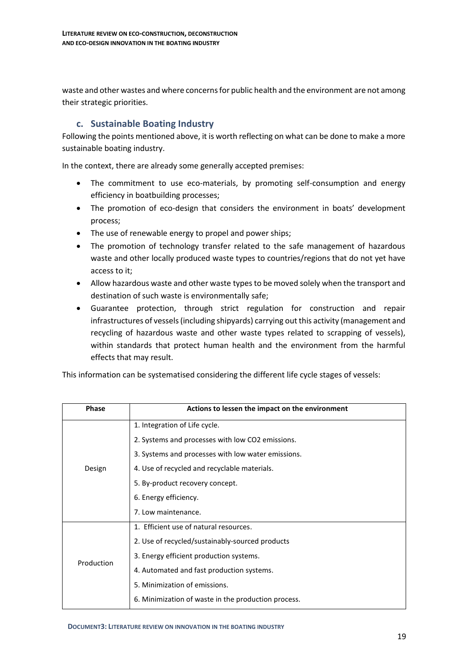waste and other wastes and where concerns for public health and the environment are not among their strategic priorities.

## <span id="page-18-0"></span>**c. Sustainable Boating Industry**

Following the points mentioned above, it is worth reflecting on what can be done to make a more sustainable boating industry.

In the context, there are already some generally accepted premises:

- The commitment to use eco-materials, by promoting self-consumption and energy efficiency in boatbuilding processes;
- The promotion of eco-design that considers the environment in boats' development process;
- The use of renewable energy to propel and power ships;
- The promotion of technology transfer related to the safe management of hazardous waste and other locally produced waste types to countries/regions that do not yet have access to it;
- Allow hazardous waste and other waste typesto be moved solely when the transport and destination of such waste is environmentally safe;
- Guarantee protection, through strict regulation for construction and repair infrastructures of vessels (including shipyards) carrying out this activity (management and recycling of hazardous waste and other waste types related to scrapping of vessels), within standards that protect human health and the environment from the harmful effects that may result.

This information can be systematised considering the different life cycle stages of vessels:

| <b>Phase</b> | Actions to lessen the impact on the environment     |
|--------------|-----------------------------------------------------|
|              | 1. Integration of Life cycle.                       |
|              | 2. Systems and processes with low CO2 emissions.    |
|              | 3. Systems and processes with low water emissions.  |
| Design       | 4. Use of recycled and recyclable materials.        |
|              | 5. By-product recovery concept.                     |
|              | 6. Energy efficiency.                               |
|              | 7. Low maintenance.                                 |
|              | 1. Efficient use of natural resources.              |
|              | 2. Use of recycled/sustainably-sourced products     |
| Production   | 3. Energy efficient production systems.             |
|              | 4. Automated and fast production systems.           |
|              | 5. Minimization of emissions.                       |
|              | 6. Minimization of waste in the production process. |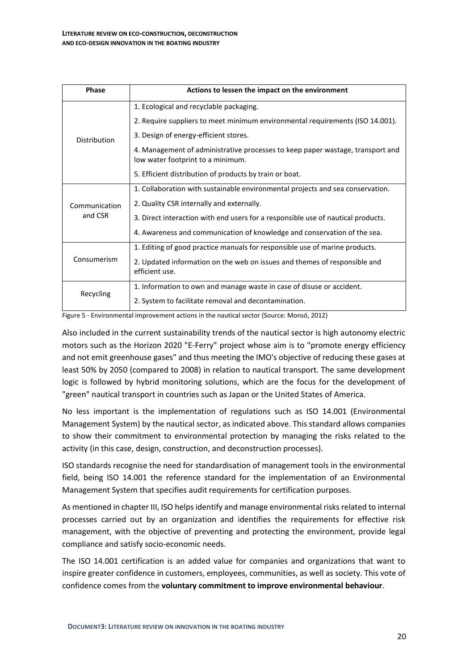| <b>Phase</b>  | Actions to lessen the impact on the environment                                                                     |
|---------------|---------------------------------------------------------------------------------------------------------------------|
|               | 1. Ecological and recyclable packaging.                                                                             |
|               | 2. Require suppliers to meet minimum environmental requirements (ISO 14.001).                                       |
| Distribution  | 3. Design of energy-efficient stores.                                                                               |
|               | 4. Management of administrative processes to keep paper wastage, transport and<br>low water footprint to a minimum. |
|               | 5. Efficient distribution of products by train or boat.                                                             |
|               | 1. Collaboration with sustainable environmental projects and sea conservation.                                      |
| Communication | 2. Quality CSR internally and externally.                                                                           |
| and CSR       | 3. Direct interaction with end users for a responsible use of nautical products.                                    |
|               | 4. Awareness and communication of knowledge and conservation of the sea.                                            |
|               | 1. Editing of good practice manuals for responsible use of marine products.                                         |
| Consumerism   | 2. Updated information on the web on issues and themes of responsible and<br>efficient use.                         |
|               | 1. Information to own and manage waste in case of disuse or accident.                                               |
| Recycling     | 2. System to facilitate removal and decontamination.                                                                |

Figure 5 - Environmental improvement actions in the nautical sector (Source: Monsó, 2012)

Also included in the current sustainability trends of the nautical sector is high autonomy electric motors such as the Horizon 2020 "E-Ferry" project whose aim is to "promote energy efficiency and not emit greenhouse gases" and thus meeting the IMO's objective of reducing these gases at least 50% by 2050 (compared to 2008) in relation to nautical transport. The same development logic is followed by hybrid monitoring solutions, which are the focus for the development of "green" nautical transport in countries such as Japan or the United States of America.

No less important is the implementation of regulations such as ISO 14.001 (Environmental Management System) by the nautical sector, as indicated above. This standard allows companies to show their commitment to environmental protection by managing the risks related to the activity (in this case, design, construction, and deconstruction processes).

ISO standards recognise the need for standardisation of management tools in the environmental field, being ISO 14.001 the reference standard for the implementation of an Environmental Management System that specifies audit requirements for certification purposes.

As mentioned in chapter III, ISO helps identify and manage environmental risks related to internal processes carried out by an organization and identifies the requirements for effective risk management, with the objective of preventing and protecting the environment, provide legal compliance and satisfy socio-economic needs.

The ISO 14.001 certification is an added value for companies and organizations that want to inspire greater confidence in customers, employees, communities, as well as society. This vote of confidence comes from the **voluntary commitment to improve environmental behaviour**.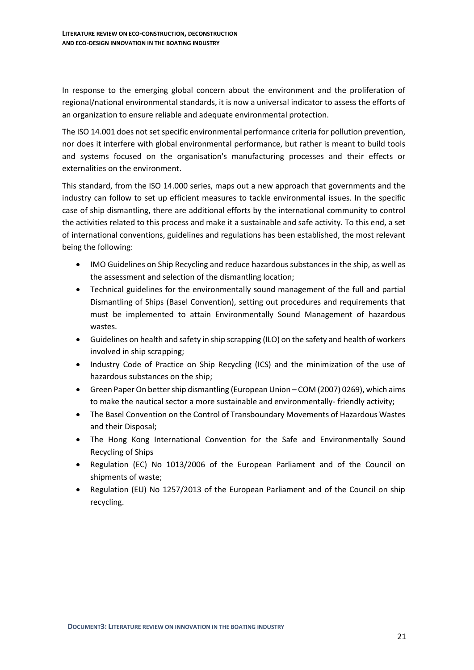In response to the emerging global concern about the environment and the proliferation of regional/national environmental standards, it is now a universal indicator to assess the efforts of an organization to ensure reliable and adequate environmental protection.

The ISO 14.001 does not set specific environmental performance criteria for pollution prevention, nor does it interfere with global environmental performance, but rather is meant to build tools and systems focused on the organisation's manufacturing processes and their effects or externalities on the environment.

This standard, from the ISO 14.000 series, maps out a new approach that governments and the industry can follow to set up efficient measures to tackle environmental issues. In the specific case of ship dismantling, there are additional efforts by the international community to control the activities related to this process and make it a sustainable and safe activity. To this end, a set of international conventions, guidelines and regulations has been established, the most relevant being the following:

- IMO Guidelines on Ship Recycling and reduce hazardous substances in the ship, as well as the assessment and selection of the dismantling location;
- Technical guidelines for the environmentally sound management of the full and partial Dismantling of Ships (Basel Convention), setting out procedures and requirements that must be implemented to attain Environmentally Sound Management of hazardous wastes.
- Guidelines on health and safety in ship scrapping (ILO) on the safety and health of workers involved in ship scrapping;
- Industry Code of Practice on Ship Recycling (ICS) and the minimization of the use of hazardous substances on the ship;
- Green Paper On better ship dismantling (European Union COM (2007) 0269), which aims to make the nautical sector a more sustainable and environmentally- friendly activity;
- The Basel Convention on the Control of Transboundary Movements of Hazardous Wastes and their Disposal;
- The Hong Kong International Convention for the Safe and Environmentally Sound Recycling of Ships
- Regulation (EC) No 1013/2006 of the European Parliament and of the Council on shipments of waste;
- Regulation (EU) No 1257/2013 of the European Parliament and of the Council on ship recycling.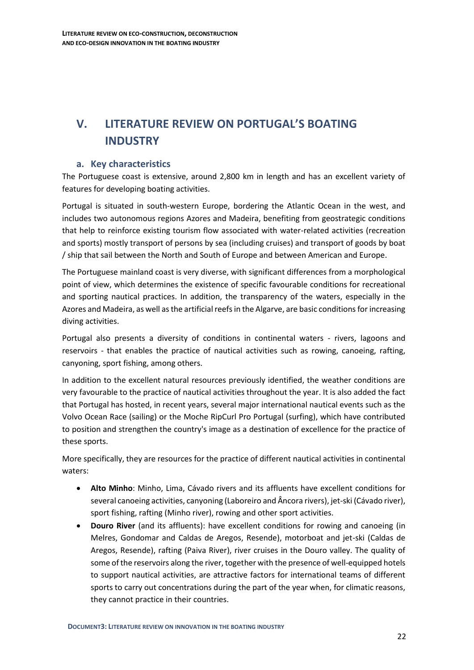# <span id="page-21-0"></span>**V. LITERATURE REVIEW ON PORTUGAL'S BOATING INDUSTRY**

## <span id="page-21-1"></span>**a. Key characteristics**

The Portuguese coast is extensive, around 2,800 km in length and has an excellent variety of features for developing boating activities.

Portugal is situated in south-western Europe, bordering the Atlantic Ocean in the west, and includes two autonomous regions Azores and Madeira, benefiting from geostrategic conditions that help to reinforce existing tourism flow associated with water-related activities (recreation and sports) mostly transport of persons by sea (including cruises) and transport of goods by boat / ship that sail between the North and South of Europe and between American and Europe.

The Portuguese mainland coast is very diverse, with significant differences from a morphological point of view, which determines the existence of specific favourable conditions for recreational and sporting nautical practices. In addition, the transparency of the waters, especially in the Azores and Madeira, as well as the artificial reefs in the Algarve, are basic conditions for increasing diving activities.

Portugal also presents a diversity of conditions in continental waters - rivers, lagoons and reservoirs - that enables the practice of nautical activities such as rowing, canoeing, rafting, canyoning, sport fishing, among others.

In addition to the excellent natural resources previously identified, the weather conditions are very favourable to the practice of nautical activities throughout the year. It is also added the fact that Portugal has hosted, in recent years, several major international nautical events such as the Volvo Ocean Race (sailing) or the Moche RipCurl Pro Portugal (surfing), which have contributed to position and strengthen the country's image as a destination of excellence for the practice of these sports.

More specifically, they are resources for the practice of different nautical activities in continental waters:

- **Alto Minho**: Minho, Lima, Cávado rivers and its affluents have excellent conditions for several canoeing activities, canyoning (Laboreiro and Âncora rivers), jet-ski (Cávado river), sport fishing, rafting (Minho river), rowing and other sport activities.
- **Douro River** (and its affluents): have excellent conditions for rowing and canoeing (in Melres, Gondomar and Caldas de Aregos, Resende), motorboat and jet-ski (Caldas de Aregos, Resende), rafting (Paiva River), river cruises in the Douro valley. The quality of some of the reservoirs along the river, together with the presence of well-equipped hotels to support nautical activities, are attractive factors for international teams of different sports to carry out concentrations during the part of the year when, for climatic reasons, they cannot practice in their countries.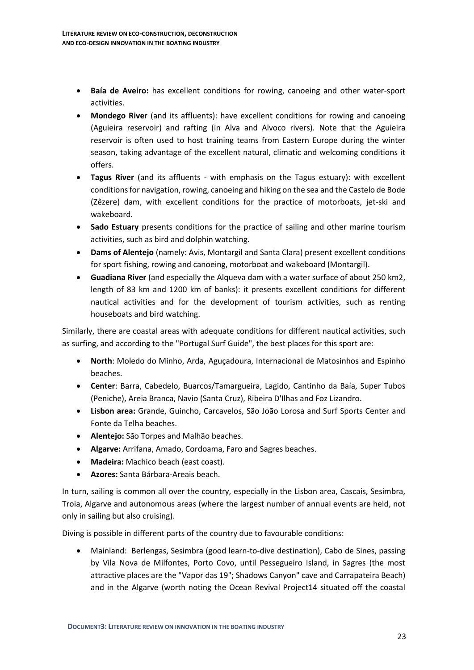- **Baía de Aveiro:** has excellent conditions for rowing, canoeing and other water-sport activities.
- **Mondego River** (and its affluents): have excellent conditions for rowing and canoeing (Aguieira reservoir) and rafting (in Alva and Alvoco rivers). Note that the Aguieira reservoir is often used to host training teams from Eastern Europe during the winter season, taking advantage of the excellent natural, climatic and welcoming conditions it offers.
- **Tagus River** (and its affluents with emphasis on the Tagus estuary): with excellent conditions for navigation, rowing, canoeing and hiking on the sea and the Castelo de Bode (Zêzere) dam, with excellent conditions for the practice of motorboats, jet-ski and wakeboard.
- **Sado Estuary** presents conditions for the practice of sailing and other marine tourism activities, such as bird and dolphin watching.
- **Dams of Alentejo** (namely: Avis, Montargil and Santa Clara) present excellent conditions for sport fishing, rowing and canoeing, motorboat and wakeboard (Montargil).
- **Guadiana River** (and especially the Alqueva dam with a water surface of about 250 km2, length of 83 km and 1200 km of banks): it presents excellent conditions for different nautical activities and for the development of tourism activities, such as renting houseboats and bird watching.

Similarly, there are coastal areas with adequate conditions for different nautical activities, such as surfing, and according to the "Portugal Surf Guide", the best places for this sport are:

- **North**: Moledo do Minho, Arda, Aguçadoura, Internacional de Matosinhos and Espinho beaches.
- **Center**: Barra, Cabedelo, Buarcos/Tamargueira, Lagido, Cantinho da Baía, Super Tubos (Peniche), Areia Branca, Navio (Santa Cruz), Ribeira D'Ilhas and Foz Lizandro.
- **Lisbon area:** Grande, Guincho, Carcavelos, São João Lorosa and Surf Sports Center and Fonte da Telha beaches.
- **Alentejo:** São Torpes and Malhão beaches.
- **Algarve:** Arrifana, Amado, Cordoama, Faro and Sagres beaches.
- **Madeira:** Machico beach (east coast).
- **Azores:** Santa Bárbara-Areais beach.

In turn, sailing is common all over the country, especially in the Lisbon area, Cascais, Sesimbra, Troia, Algarve and autonomous areas (where the largest number of annual events are held, not only in sailing but also cruising).

Diving is possible in different parts of the country due to favourable conditions:

• Mainland: Berlengas, Sesimbra (good learn-to-dive destination), Cabo de Sines, passing by Vila Nova de Milfontes, Porto Covo, until Pessegueiro Island, in Sagres (the most attractive places are the "Vapor das 19"; Shadows Canyon" cave and Carrapateira Beach) and in the Algarve (worth noting the Ocean Revival Project14 situated off the coastal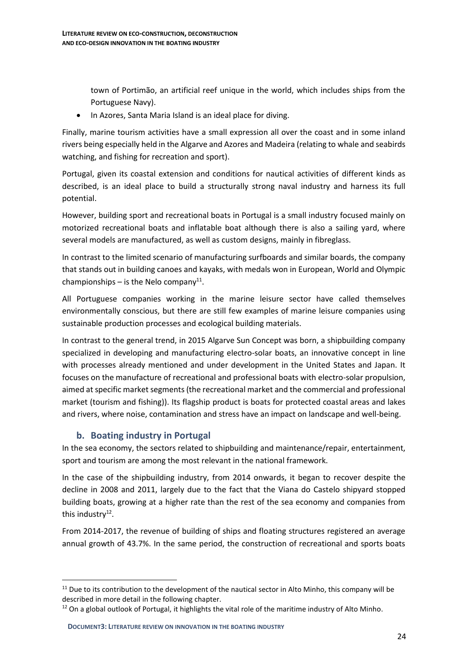town of Portimão, an artificial reef unique in the world, which includes ships from the Portuguese Navy).

• In Azores, Santa Maria Island is an ideal place for diving.

Finally, marine tourism activities have a small expression all over the coast and in some inland rivers being especially held in the Algarve and Azores and Madeira (relating to whale and seabirds watching, and fishing for recreation and sport).

Portugal, given its coastal extension and conditions for nautical activities of different kinds as described, is an ideal place to build a structurally strong naval industry and harness its full potential.

However, building sport and recreational boats in Portugal is a small industry focused mainly on motorized recreational boats and inflatable boat although there is also a sailing yard, where several models are manufactured, as well as custom designs, mainly in fibreglass.

In contrast to the limited scenario of manufacturing surfboards and similar boards, the company that stands out in building canoes and kayaks, with medals won in European, World and Olympic championships  $-$  is the Nelo company<sup>11</sup>.

All Portuguese companies working in the marine leisure sector have called themselves environmentally conscious, but there are still few examples of marine leisure companies using sustainable production processes and ecological building materials.

In contrast to the general trend, in 2015 Algarve Sun Concept was born, a shipbuilding company specialized in developing and manufacturing electro-solar boats, an innovative concept in line with processes already mentioned and under development in the United States and Japan. It focuses on the manufacture of recreational and professional boats with electro-solar propulsion, aimed at specific market segments (the recreational market and the commercial and professional market (tourism and fishing)). Its flagship product is boats for protected coastal areas and lakes and rivers, where noise, contamination and stress have an impact on landscape and well-being.

## <span id="page-23-0"></span>**b. Boating industry in Portugal**

In the sea economy, the sectors related to shipbuilding and maintenance/repair, entertainment, sport and tourism are among the most relevant in the national framework.

In the case of the shipbuilding industry, from 2014 onwards, it began to recover despite the decline in 2008 and 2011, largely due to the fact that the Viana do Castelo shipyard stopped building boats, growing at a higher rate than the rest of the sea economy and companies from this industry<sup>12</sup>.

From 2014-2017, the revenue of building of ships and floating structures registered an average annual growth of 43.7%. In the same period, the construction of recreational and sports boats

 $11$  Due to its contribution to the development of the nautical sector in Alto Minho, this company will be described in more detail in the following chapter.

<sup>&</sup>lt;sup>12</sup> On a global outlook of Portugal, it highlights the vital role of the maritime industry of Alto Minho.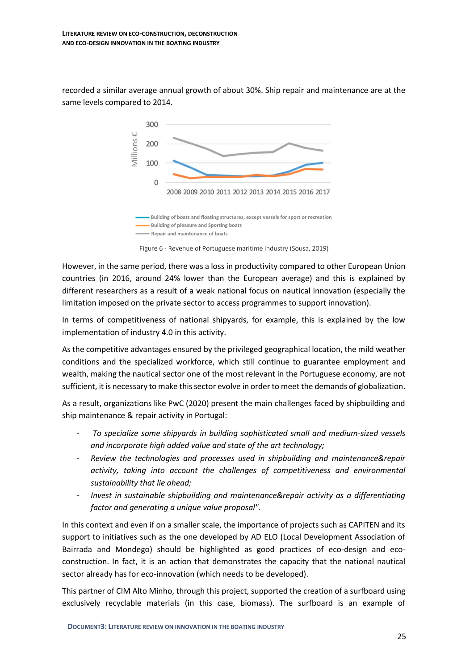recorded a similar average annual growth of about 30%. Ship repair and maintenance are at the same levels compared to 2014.



Figure 6 - Revenue of Portuguese maritime industry (Sousa, 2019)

However, in the same period, there was a loss in productivity compared to other European Union countries (in 2016, around 24% lower than the European average) and this is explained by different researchers as a result of a weak national focus on nautical innovation (especially the limitation imposed on the private sector to access programmes to support innovation).

In terms of competitiveness of national shipyards, for example, this is explained by the low implementation of industry 4.0 in this activity.

As the competitive advantages ensured by the privileged geographical location, the mild weather conditions and the specialized workforce, which still continue to guarantee employment and wealth, making the nautical sector one of the most relevant in the Portuguese economy, are not sufficient, it is necessary to make this sector evolve in order to meet the demands of globalization.

As a result, organizations like PwC (2020) present the main challenges faced by shipbuilding and ship maintenance & repair activity in Portugal:

- *To specialize some shipyards in building sophisticated small and medium-sized vessels and incorporate high added value and state of the art technology;*
- *Review the technologies and processes used in shipbuilding and maintenance&repair activity, taking into account the challenges of competitiveness and environmental sustainability that lie ahead;*
- *Invest in sustainable shipbuilding and maintenance&repair activity as a differentiating factor and generating a unique value proposal".*

In this context and even if on a smaller scale, the importance of projects such as CAPITEN and its support to initiatives such as the one developed by AD ELO (Local Development Association of Bairrada and Mondego) should be highlighted as good practices of eco-design and ecoconstruction. In fact, it is an action that demonstrates the capacity that the national nautical sector already has for eco-innovation (which needs to be developed).

This partner of CIM Alto Minho, through this project, supported the creation of a surfboard using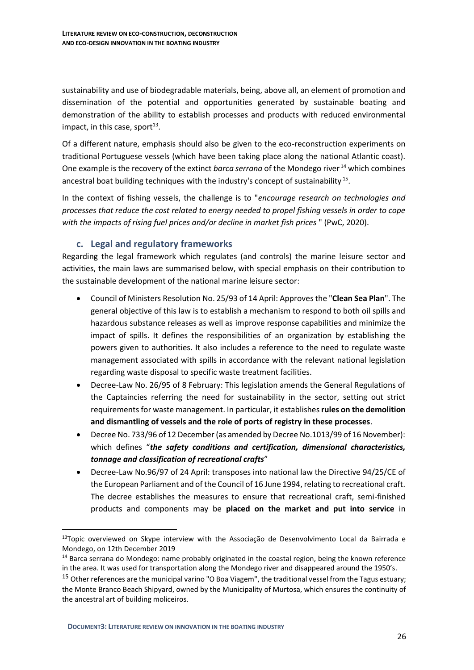sustainability and use of biodegradable materials, being, above all, an element of promotion and dissemination of the potential and opportunities generated by sustainable boating and demonstration of the ability to establish processes and products with reduced environmental impact, in this case, sport $^{13}$ .

Of a different nature, emphasis should also be given to the eco-reconstruction experiments on traditional Portuguese vessels (which have been taking place along the national Atlantic coast). One example is the recovery of the extinct *barca serrana* of the Mondego river <sup>14</sup> which combines ancestral boat building techniques with the industry's concept of sustainability<sup>15</sup>.

In the context of fishing vessels, the challenge is to "*encourage research on technologies and processes that reduce the cost related to energy needed to propel fishing vessels in order to cope with the impacts of rising fuel prices and/or decline in market fish prices* " (PwC, 2020).

## <span id="page-25-0"></span>**c. Legal and regulatory frameworks**

Regarding the legal framework which regulates (and controls) the marine leisure sector and activities, the main laws are summarised below, with special emphasis on their contribution to the sustainable development of the national marine leisure sector:

- Council of Ministers Resolution No. 25/93 of 14 April: Approves the "**Clean Sea Plan**". The general objective of this law is to establish a mechanism to respond to both oil spills and hazardous substance releases as well as improve response capabilities and minimize the impact of spills. It defines the responsibilities of an organization by establishing the powers given to authorities. It also includes a reference to the need to regulate waste management associated with spills in accordance with the relevant national legislation regarding waste disposal to specific waste treatment facilities.
- Decree-Law No. 26/95 of 8 February: This legislation amends the General Regulations of the Captaincies referring the need for sustainability in the sector, setting out strict requirements for waste management. In particular, it establishes **rules on the demolition and dismantling of vessels and the role of ports of registry in these processes**.
- Decree No. 733/96 of 12 December (as amended by Decree No.1013/99 of 16 November): which defines "*the safety conditions and certification, dimensional characteristics, tonnage and classification of recreational crafts*"
- Decree-Law No.96/97 of 24 April: transposes into national law the Directive 94/25/CE of the European Parliament and of the Council of 16 June 1994, relating to recreational craft. The decree establishes the measures to ensure that recreational craft, semi-finished products and components may be **placed on the market and put into service** in

**DOCUMENT3: LITERATURE REVIEW ON INNOVATION IN THE BOATING INDUSTRY**

 $13$ Topic overviewed on Skype interview with the Associação de Desenvolvimento Local da Bairrada e Mondego, on 12th December 2019

<sup>14</sup> Barca serrana do Mondego: name probably originated in the coastal region, being the known reference in the area. It was used for transportation along the Mondego river and disappeared around the 1950's.

<sup>&</sup>lt;sup>15</sup> Other references are the municipal varino "O Boa Viagem", the traditional vessel from the Tagus estuary; the Monte Branco Beach Shipyard, owned by the Municipality of Murtosa, which ensures the continuity of the ancestral art of building moliceiros.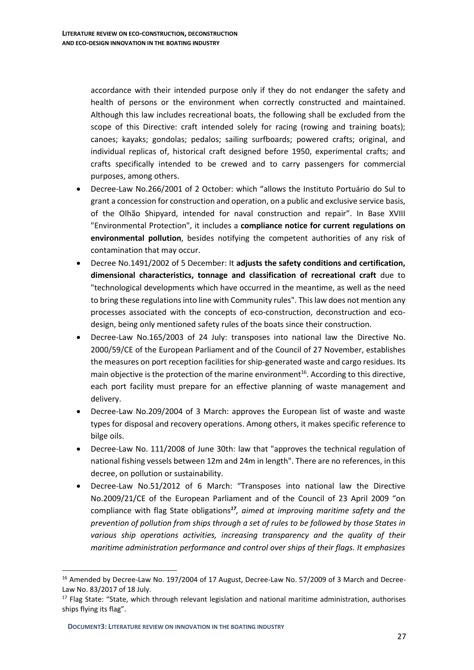accordance with their intended purpose only if they do not endanger the safety and health of persons or the environment when correctly constructed and maintained. Although this law includes recreational boats, the following shall be excluded from the scope of this Directive: craft intended solely for racing (rowing and training boats); canoes; kayaks; gondolas; pedalos; sailing surfboards; powered crafts; original, and individual replicas of, historical craft designed before 1950, experimental crafts; and crafts specifically intended to be crewed and to carry passengers for commercial purposes, among others.

- Decree-Law No.266/2001 of 2 October: which "allows the Instituto Portuário do Sul to grant a concession for construction and operation, on a public and exclusive service basis, of the Olhão Shipyard, intended for naval construction and repair". In Base XVIII "Environmental Protection", it includes a **compliance notice for current regulations on environmental pollution**, besides notifying the competent authorities of any risk of contamination that may occur.
- Decree No.1491/2002 of 5 December: It **adjusts the safety conditions and certification, dimensional characteristics, tonnage and classification of recreational craft** due to "technological developments which have occurred in the meantime, as well as the need to bring these regulations into line with Community rules". This law does not mention any processes associated with the concepts of eco-construction, deconstruction and ecodesign, being only mentioned safety rules of the boats since their construction.
- Decree-Law No.165/2003 of 24 July: transposes into national law the Directive No. 2000/59/CE of the European Parliament and of the Council of 27 November, establishes the measures on port reception facilities for ship-generated waste and cargo residues. Its main objective is the protection of the marine environment<sup>16</sup>. According to this directive, each port facility must prepare for an effective planning of waste management and delivery.
- Decree-Law No.209/2004 of 3 March: approves the European list of waste and waste types for disposal and recovery operations. Among others, it makes specific reference to bilge oils.
- Decree-Law No. 111/2008 of June 30th: law that "approves the technical regulation of national fishing vessels between 12m and 24m in length". There are no references, in this decree, on pollution or sustainability.
- Decree-Law No.51/2012 of 6 March: "Transposes into national law the Directive No.2009/21/CE of the European Parliament and of the Council of 23 April 2009 "on compliance with flag State obligations*<sup>17</sup> , aimed at improving maritime safety and the prevention of pollution from ships through a set of rules to be followed by those States in various ship operations activities, increasing transparency and the quality of their maritime administration performance and control over ships of their flags. It emphasizes*

<sup>&</sup>lt;sup>16</sup> Amended by Decree-Law No. 197/2004 of 17 August, Decree-Law No. 57/2009 of 3 March and Decree-Law No. 83/2017 of 18 July.

<sup>&</sup>lt;sup>17</sup> Flag State: "State, which through relevant legislation and national maritime administration, authorises ships flying its flag".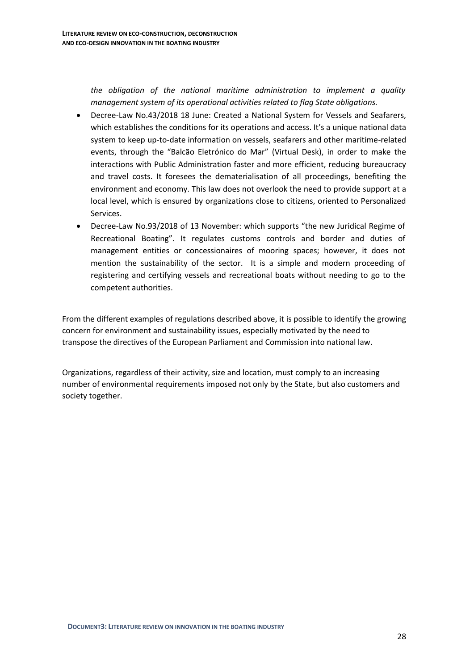*the obligation of the national maritime administration to implement a quality management system of its operational activities related to flag State obligations.* 

- Decree-Law No.43/2018 18 June: Created a National System for Vessels and Seafarers, which establishes the conditions for its operations and access. It's a unique national data system to keep up-to-date information on vessels, seafarers and other maritime-related events, through the "Balcão Eletrónico do Mar" (Virtual Desk), in order to make the interactions with Public Administration faster and more efficient, reducing bureaucracy and travel costs. It foresees the dematerialisation of all proceedings, benefiting the environment and economy. This law does not overlook the need to provide support at a local level, which is ensured by organizations close to citizens, oriented to Personalized Services.
- Decree-Law No.93/2018 of 13 November: which supports "the new Juridical Regime of Recreational Boating". It regulates customs controls and border and duties of management entities or concessionaires of mooring spaces; however, it does not mention the sustainability of the sector. It is a simple and modern proceeding of registering and certifying vessels and recreational boats without needing to go to the competent authorities.

<span id="page-27-0"></span>From the different examples of regulations described above, it is possible to identify the growing concern for environment and sustainability issues, especially motivated by the need to transpose the directives of the European Parliament and Commission into national law.

<span id="page-27-1"></span>Organizations, regardless of their activity, size and location, must comply to an increasing number of environmental requirements imposed not only by the State, but also customers and society together.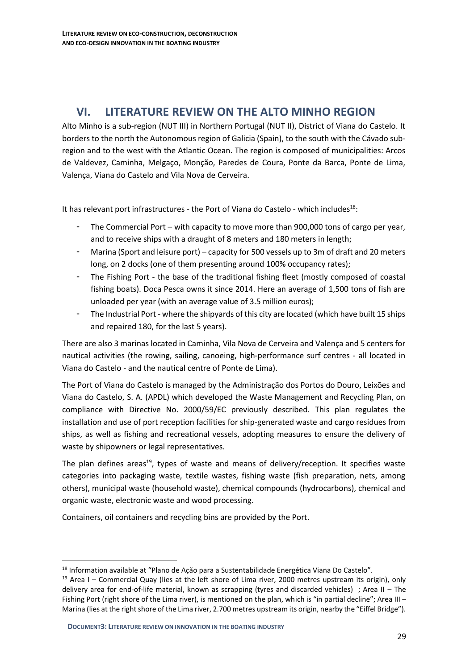## <span id="page-28-0"></span>**VI. LITERATURE REVIEW ON THE ALTO MINHO REGION**

Alto Minho is a sub-region (NUT III) in Northern Portugal (NUT II), District of Viana do Castelo. It borders to the north the Autonomous region of Galicia (Spain), to the south with the Cávado subregion and to the west with the Atlantic Ocean. The region is composed of municipalities: Arcos de Valdevez, Caminha, Melgaço, Monção, Paredes de Coura, Ponte da Barca, Ponte de Lima, Valença, Viana do Castelo and Vila Nova de Cerveira.

It has relevant port infrastructures - the Port of Viana do Castelo - which includes<sup>18</sup>:

- The Commercial Port with capacity to move more than 900,000 tons of cargo per year, and to receive ships with a draught of 8 meters and 180 meters in length;
- Marina (Sport and leisure port) capacity for 500 vessels up to 3m of draft and 20 meters long, on 2 docks (one of them presenting around 100% occupancy rates);
- The Fishing Port the base of the traditional fishing fleet (mostly composed of coastal fishing boats). Doca Pesca owns it since 2014. Here an average of 1,500 tons of fish are unloaded per year (with an average value of 3.5 million euros);
- The Industrial Port where the shipyards of this city are located (which have built 15 ships and repaired 180, for the last 5 years).

There are also 3 marinas located in Caminha, Vila Nova de Cerveira and Valença and 5 centers for nautical activities (the rowing, sailing, canoeing, high-performance surf centres - all located in Viana do Castelo - and the nautical centre of Ponte de Lima).

The Port of Viana do Castelo is managed by the Administração dos Portos do Douro, Leixões and Viana do Castelo, S. A. (APDL) which developed the Waste Management and Recycling Plan, on compliance with Directive No. 2000/59/EC previously described. This plan regulates the installation and use of port reception facilities for ship-generated waste and cargo residues from ships, as well as fishing and recreational vessels, adopting measures to ensure the delivery of waste by shipowners or legal representatives.

The plan defines areas<sup>19</sup>, types of waste and means of delivery/reception. It specifies waste categories into packaging waste, textile wastes, fishing waste (fish preparation, nets, among others), municipal waste (household waste), chemical compounds (hydrocarbons), chemical and organic waste, electronic waste and wood processing.

Containers, oil containers and recycling bins are provided by the Port.

<sup>18</sup> Information available at "Plano de Ação para a Sustentabilidade Energética Viana Do Castelo".

<sup>&</sup>lt;sup>19</sup> Area I – Commercial Quay (lies at the left shore of Lima river, 2000 metres upstream its origin), only delivery area for end-of-life material, known as scrapping (tyres and discarded vehicles) ; Area II – The Fishing Port (right shore of the Lima river), is mentioned on the plan, which is "in partial decline"; Area III – Marina (lies at the right shore of the Lima river, 2.700 metres upstream its origin, nearby the "Eiffel Bridge").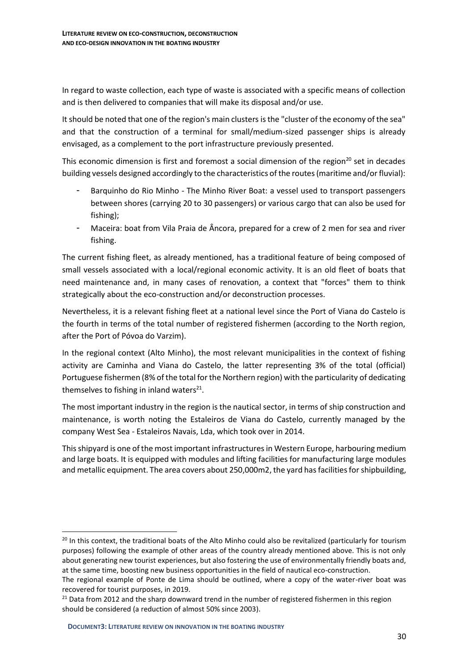In regard to waste collection, each type of waste is associated with a specific means of collection and is then delivered to companies that will make its disposal and/or use.

It should be noted that one of the region's main clusters is the "cluster of the economy of the sea" and that the construction of a terminal for small/medium-sized passenger ships is already envisaged, as a complement to the port infrastructure previously presented.

This economic dimension is first and foremost a social dimension of the region<sup>20</sup> set in decades building vessels designed accordingly to the characteristics of the routes (maritime and/or fluvial):

- Barquinho do Rio Minho The Minho River Boat: a vessel used to transport passengers between shores (carrying 20 to 30 passengers) or various cargo that can also be used for fishing);
- Maceira: boat from Vila Praia de Âncora, prepared for a crew of 2 men for sea and river fishing.

The current fishing fleet, as already mentioned, has a traditional feature of being composed of small vessels associated with a local/regional economic activity. It is an old fleet of boats that need maintenance and, in many cases of renovation, a context that "forces" them to think strategically about the eco-construction and/or deconstruction processes.

Nevertheless, it is a relevant fishing fleet at a national level since the Port of Viana do Castelo is the fourth in terms of the total number of registered fishermen (according to the North region, after the Port of Póvoa do Varzim).

In the regional context (Alto Minho), the most relevant municipalities in the context of fishing activity are Caminha and Viana do Castelo, the latter representing 3% of the total (official) Portuguese fishermen (8% of the total for the Northern region) with the particularity of dedicating themselves to fishing in inland waters $^{21}$ .

The most important industry in the region is the nautical sector, in terms of ship construction and maintenance, is worth noting the Estaleiros de Viana do Castelo, currently managed by the company West Sea - Estaleiros Navais, Lda, which took over in 2014.

This shipyard is one of the most important infrastructures in Western Europe, harbouring medium and large boats. It is equipped with modules and lifting facilities for manufacturing large modules and metallic equipment. The area covers about 250,000m2, the yard has facilities for shipbuilding,

<sup>&</sup>lt;sup>20</sup> In this context, the traditional boats of the Alto Minho could also be revitalized (particularly for tourism purposes) following the example of other areas of the country already mentioned above. This is not only about generating new tourist experiences, but also fostering the use of environmentally friendly boats and, at the same time, boosting new business opportunities in the field of nautical eco-construction.

The regional example of Ponte de Lima should be outlined, where a copy of the water-river boat was recovered for tourist purposes, in 2019.

 $21$  Data from 2012 and the sharp downward trend in the number of registered fishermen in this region should be considered (a reduction of almost 50% since 2003).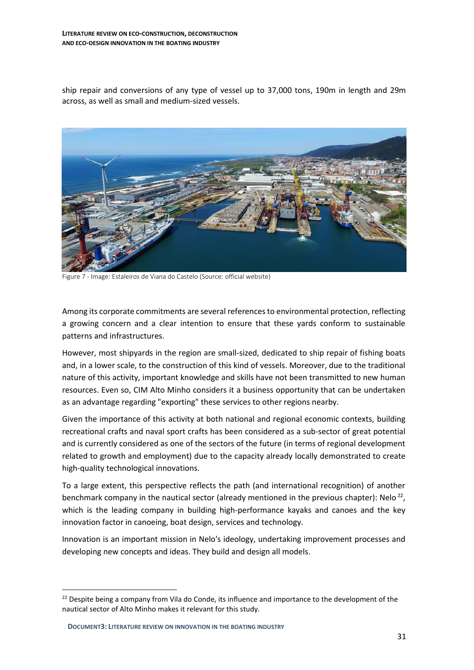ship repair and conversions of any type of vessel up to 37,000 tons, 190m in length and 29m across, as well as small and medium-sized vessels.



Figure 7 - Image: Estaleiros de Viana do Castelo (Source: official website)

Among its corporate commitments are several references to environmental protection, reflecting a growing concern and a clear intention to ensure that these yards conform to sustainable patterns and infrastructures.

However, most shipyards in the region are small-sized, dedicated to ship repair of fishing boats and, in a lower scale, to the construction of this kind of vessels. Moreover, due to the traditional nature of this activity, important knowledge and skills have not been transmitted to new human resources. Even so, CIM Alto Minho considers it a business opportunity that can be undertaken as an advantage regarding "exporting" these services to other regions nearby.

Given the importance of this activity at both national and regional economic contexts, building recreational crafts and naval sport crafts has been considered as a sub-sector of great potential and is currently considered as one of the sectors of the future (in terms of regional development related to growth and employment) due to the capacity already locally demonstrated to create high-quality technological innovations.

To a large extent, this perspective reflects the path (and international recognition) of another benchmark company in the nautical sector (already mentioned in the previous chapter): Nelo<sup>22</sup>, which is the leading company in building high-performance kayaks and canoes and the key innovation factor in canoeing, boat design, services and technology.

Innovation is an important mission in Nelo's ideology, undertaking improvement processes and developing new concepts and ideas. They build and design all models.

<sup>&</sup>lt;sup>22</sup> Despite being a company from Vila do Conde, its influence and importance to the development of the nautical sector of Alto Minho makes it relevant for this study.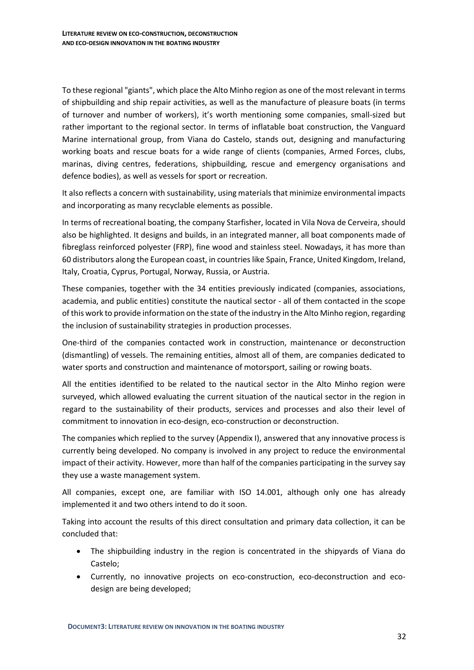To these regional "giants", which place the Alto Minho region as one of the most relevant in terms of shipbuilding and ship repair activities, as well as the manufacture of pleasure boats (in terms of turnover and number of workers), it's worth mentioning some companies, small-sized but rather important to the regional sector. In terms of inflatable boat construction, the Vanguard Marine international group, from Viana do Castelo, stands out, designing and manufacturing working boats and rescue boats for a wide range of clients (companies, Armed Forces, clubs, marinas, diving centres, federations, shipbuilding, rescue and emergency organisations and defence bodies), as well as vessels for sport or recreation.

It also reflects a concern with sustainability, using materials that minimize environmental impacts and incorporating as many recyclable elements as possible.

In terms of recreational boating, the company Starfisher, located in Vila Nova de Cerveira, should also be highlighted. It designs and builds, in an integrated manner, all boat components made of fibreglass reinforced polyester (FRP), fine wood and stainless steel. Nowadays, it has more than 60 distributors along the European coast, in countries like Spain, France, United Kingdom, Ireland, Italy, Croatia, Cyprus, Portugal, Norway, Russia, or Austria.

These companies, together with the 34 entities previously indicated (companies, associations, academia, and public entities) constitute the nautical sector - all of them contacted in the scope of this work to provide information on the state of the industry in the Alto Minho region, regarding the inclusion of sustainability strategies in production processes.

One-third of the companies contacted work in construction, maintenance or deconstruction (dismantling) of vessels. The remaining entities, almost all of them, are companies dedicated to water sports and construction and maintenance of motorsport, sailing or rowing boats.

All the entities identified to be related to the nautical sector in the Alto Minho region were surveyed, which allowed evaluating the current situation of the nautical sector in the region in regard to the sustainability of their products, services and processes and also their level of commitment to innovation in eco-design, eco-construction or deconstruction.

The companies which replied to the survey (Appendix I), answered that any innovative process is currently being developed. No company is involved in any project to reduce the environmental impact of their activity. However, more than half of the companies participating in the survey say they use a waste management system.

All companies, except one, are familiar with ISO 14.001, although only one has already implemented it and two others intend to do it soon.

Taking into account the results of this direct consultation and primary data collection, it can be concluded that:

- The shipbuilding industry in the region is concentrated in the shipyards of Viana do Castelo;
- Currently, no innovative projects on eco-construction, eco-deconstruction and ecodesign are being developed;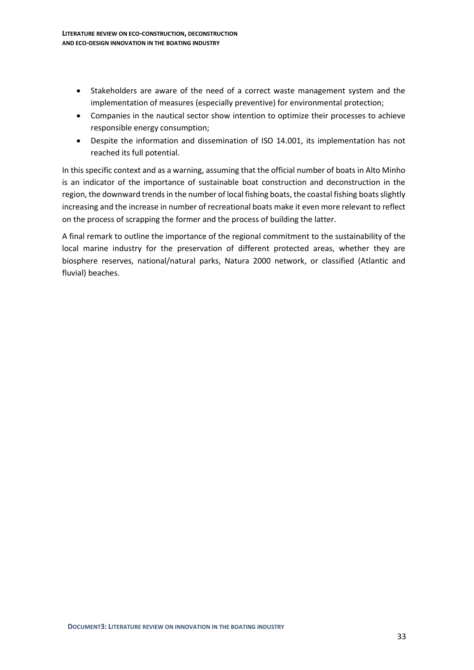- Stakeholders are aware of the need of a correct waste management system and the implementation of measures (especially preventive) for environmental protection;
- Companies in the nautical sector show intention to optimize their processes to achieve responsible energy consumption;
- Despite the information and dissemination of ISO 14.001, its implementation has not reached its full potential.

In this specific context and as a warning, assuming that the official number of boats in Alto Minho is an indicator of the importance of sustainable boat construction and deconstruction in the region, the downward trends in the number of local fishing boats, the coastal fishing boats slightly increasing and the increase in number of recreational boats make it even more relevant to reflect on the process of scrapping the former and the process of building the latter.

A final remark to outline the importance of the regional commitment to the sustainability of the local marine industry for the preservation of different protected areas, whether they are biosphere reserves, national/natural parks, Natura 2000 network, or classified (Atlantic and fluvial) beaches.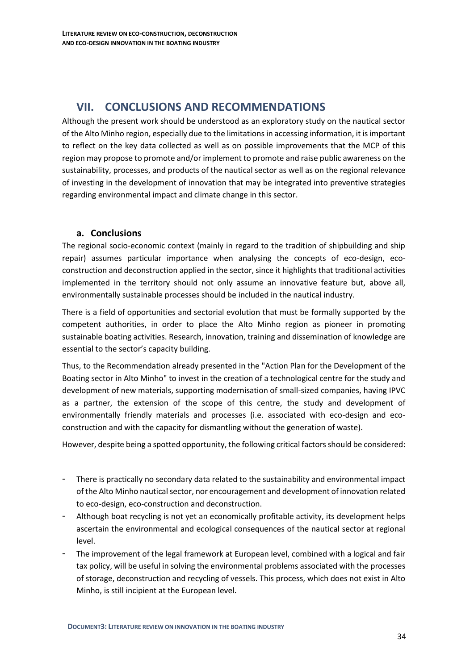## <span id="page-33-0"></span>**VII. CONCLUSIONS AND RECOMMENDATIONS**

Although the present work should be understood as an exploratory study on the nautical sector of the Alto Minho region, especially due to the limitations in accessing information, it is important to reflect on the key data collected as well as on possible improvements that the MCP of this region may propose to promote and/or implement to promote and raise public awareness on the sustainability, processes, and products of the nautical sector as well as on the regional relevance of investing in the development of innovation that may be integrated into preventive strategies regarding environmental impact and climate change in this sector.

## <span id="page-33-1"></span>**a. Conclusions**

The regional socio-economic context (mainly in regard to the tradition of shipbuilding and ship repair) assumes particular importance when analysing the concepts of eco-design, ecoconstruction and deconstruction applied in the sector, since it highlights that traditional activities implemented in the territory should not only assume an innovative feature but, above all, environmentally sustainable processes should be included in the nautical industry.

There is a field of opportunities and sectorial evolution that must be formally supported by the competent authorities, in order to place the Alto Minho region as pioneer in promoting sustainable boating activities. Research, innovation, training and dissemination of knowledge are essential to the sector's capacity building.

Thus, to the Recommendation already presented in the "Action Plan for the Development of the Boating sector in Alto Minho" to invest in the creation of a technological centre for the study and development of new materials, supporting modernisation of small-sized companies, having IPVC as a partner, the extension of the scope of this centre, the study and development of environmentally friendly materials and processes (i.e. associated with eco-design and ecoconstruction and with the capacity for dismantling without the generation of waste).

However, despite being a spotted opportunity, the following critical factors should be considered:

- There is practically no secondary data related to the sustainability and environmental impact of the Alto Minho nautical sector, nor encouragement and development of innovation related to eco-design, eco-construction and deconstruction.
- Although boat recycling is not yet an economically profitable activity, its development helps ascertain the environmental and ecological consequences of the nautical sector at regional level.
- The improvement of the legal framework at European level, combined with a logical and fair tax policy, will be useful in solving the environmental problems associated with the processes of storage, deconstruction and recycling of vessels. This process, which does not exist in Alto Minho, is still incipient at the European level.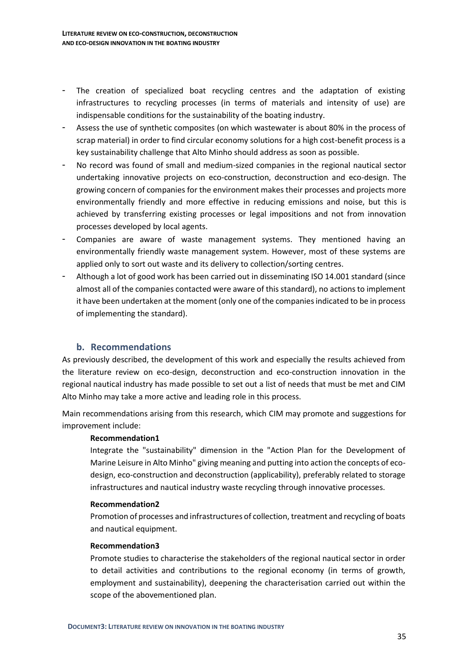- The creation of specialized boat recycling centres and the adaptation of existing infrastructures to recycling processes (in terms of materials and intensity of use) are indispensable conditions for the sustainability of the boating industry.
- Assess the use of synthetic composites (on which wastewater is about 80% in the process of scrap material) in order to find circular economy solutions for a high cost-benefit process is a key sustainability challenge that Alto Minho should address as soon as possible.
- No record was found of small and medium-sized companies in the regional nautical sector undertaking innovative projects on eco-construction, deconstruction and eco-design. The growing concern of companies for the environment makes their processes and projects more environmentally friendly and more effective in reducing emissions and noise, but this is achieved by transferring existing processes or legal impositions and not from innovation processes developed by local agents.
- Companies are aware of waste management systems. They mentioned having an environmentally friendly waste management system. However, most of these systems are applied only to sort out waste and its delivery to collection/sorting centres.
- Although a lot of good work has been carried out in disseminating ISO 14.001 standard (since almost all of the companies contacted were aware of this standard), no actions to implement it have been undertaken at the moment (only one of the companies indicated to be in process of implementing the standard).

## <span id="page-34-0"></span>**b. Recommendations**

As previously described, the development of this work and especially the results achieved from the literature review on eco-design, deconstruction and eco-construction innovation in the regional nautical industry has made possible to set out a list of needs that must be met and CIM Alto Minho may take a more active and leading role in this process.

Main recommendations arising from this research, which CIM may promote and suggestions for improvement include:

### **Recommendation1**

Integrate the "sustainability" dimension in the "Action Plan for the Development of Marine Leisure in Alto Minho" giving meaning and putting into action the concepts of ecodesign, eco-construction and deconstruction (applicability), preferably related to storage infrastructures and nautical industry waste recycling through innovative processes.

#### **Recommendation2**

Promotion of processes and infrastructures of collection, treatment and recycling of boats and nautical equipment.

### **Recommendation3**

Promote studies to characterise the stakeholders of the regional nautical sector in order to detail activities and contributions to the regional economy (in terms of growth, employment and sustainability), deepening the characterisation carried out within the scope of the abovementioned plan.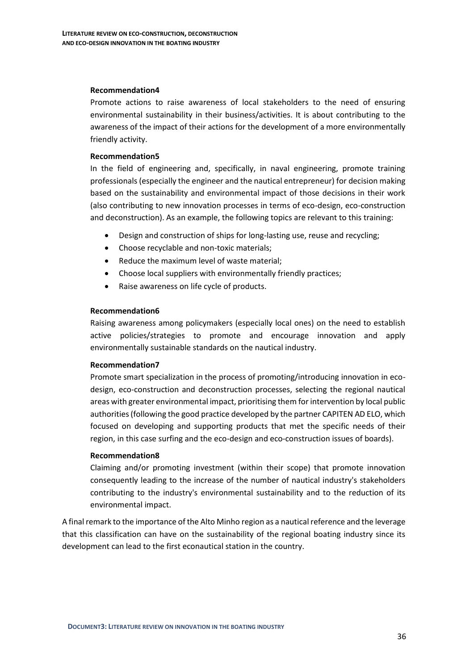#### **Recommendation4**

Promote actions to raise awareness of local stakeholders to the need of ensuring environmental sustainability in their business/activities. It is about contributing to the awareness of the impact of their actions for the development of a more environmentally friendly activity.

#### **Recommendation5**

In the field of engineering and, specifically, in naval engineering, promote training professionals (especially the engineer and the nautical entrepreneur) for decision making based on the sustainability and environmental impact of those decisions in their work (also contributing to new innovation processes in terms of eco-design, eco-construction and deconstruction). As an example, the following topics are relevant to this training:

- Design and construction of ships for long-lasting use, reuse and recycling;
- Choose recyclable and non-toxic materials;
- Reduce the maximum level of waste material;
- Choose local suppliers with environmentally friendly practices;
- Raise awareness on life cycle of products.

#### **Recommendation6**

Raising awareness among policymakers (especially local ones) on the need to establish active policies/strategies to promote and encourage innovation and apply environmentally sustainable standards on the nautical industry.

#### **Recommendation7**

Promote smart specialization in the process of promoting/introducing innovation in ecodesign, eco-construction and deconstruction processes, selecting the regional nautical areas with greater environmental impact, prioritising them for intervention by local public authorities (following the good practice developed by the partner CAPITEN AD ELO, which focused on developing and supporting products that met the specific needs of their region, in this case surfing and the eco-design and eco-construction issues of boards).

#### **Recommendation8**

Claiming and/or promoting investment (within their scope) that promote innovation consequently leading to the increase of the number of nautical industry's stakeholders contributing to the industry's environmental sustainability and to the reduction of its environmental impact.

A final remark to the importance of the Alto Minho region as a nautical reference and the leverage that this classification can have on the sustainability of the regional boating industry since its development can lead to the first econautical station in the country.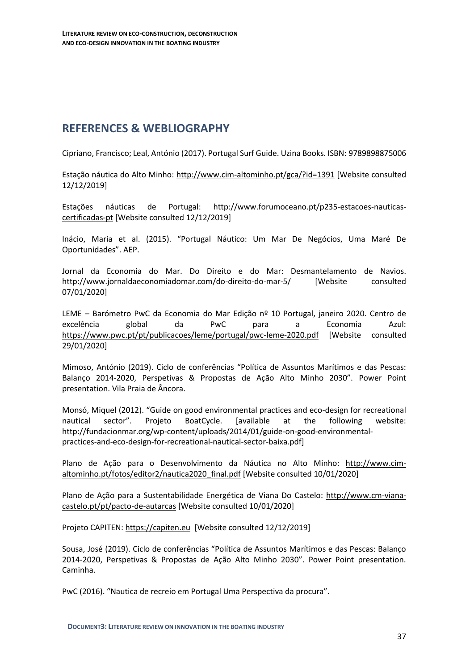## <span id="page-36-0"></span>**REFERENCES & WEBLIOGRAPHY**

Cipriano, Francisco; Leal, António (2017). Portugal Surf Guide. Uzina Books. ISBN: 9789898875006

Estação náutica do Alto Minho:<http://www.cim-altominho.pt/gca/?id=1391> [Website consulted 12/12/2019]

Estações náuticas de Portugal: [http://www.forumoceano.pt/p235-estacoes-nauticas](http://www.forumoceano.pt/p235-estacoes-nauticas-certificadas-pt)[certificadas-pt](http://www.forumoceano.pt/p235-estacoes-nauticas-certificadas-pt) [Website consulted 12/12/2019]

Inácio, Maria et al. (2015). "Portugal Náutico: Um Mar De Negócios, Uma Maré De Oportunidades". AEP.

Jornal da Economia do Mar. [Do Direito e do Mar:](http://www.jornaldaeconomiadomar.com/do-direito-do-mar-5/) Desmantelamento de Navios. <http://www.jornaldaeconomiadomar.com/do-direito-do-mar-5/> [Website consulted 07/01/2020]

LEME – Barómetro PwC da Economia do Mar Edição nº 10 Portugal, janeiro 2020. Centro de excelência global da PwC para a Economia Azul: <https://www.pwc.pt/pt/publicacoes/leme/portugal/pwc-leme-2020.pdf> [Website consulted 29/01/2020]

Mimoso, António (2019). Ciclo de conferências "Política de Assuntos Marítimos e das Pescas: Balanço 2014-2020, Perspetivas & Propostas de Ação Alto Minho 2030". Power Point presentation. Vila Praia de Âncora.

Monsó, Miquel (2012). "Guide on good environmental practices and eco-design for recreational nautical sector". Projeto BoatCycle. [available at the following website: http://fundacionmar.org/wp-content/uploads/2014/01/guide-on-good-environmentalpractices-and-eco-design-for-recreational-nautical-sector-baixa.pdf]

Plano de Ação para o Desenvolvimento da Náutica no Alto Minho: [http://www.cim](http://www.cim-altominho.pt/fotos/editor2/nautica2020_final.pdf)[altominho.pt/fotos/editor2/nautica2020\\_final.pdf](http://www.cim-altominho.pt/fotos/editor2/nautica2020_final.pdf) [Website consulted 10/01/2020]

Plano de Ação para a Sustentabilidade Energética de Viana Do Castelo: [http://www.cm-viana](http://www.cm-viana-castelo.pt/pt/pacto-de-autarcas)[castelo.pt/pt/pacto-de-autarcas](http://www.cm-viana-castelo.pt/pt/pacto-de-autarcas) [Website consulted 10/01/2020]

Projeto CAPITEN: [https://capiten.eu](https://capiten.eu/) [Website consulted 12/12/2019]

Sousa, José (2019). Ciclo de conferências "Política de Assuntos Marítimos e das Pescas: Balanço 2014-2020, Perspetivas & Propostas de Ação Alto Minho 2030". Power Point presentation. Caminha.

PwC (2016). "Nautica de recreio em Portugal Uma Perspectiva da procura".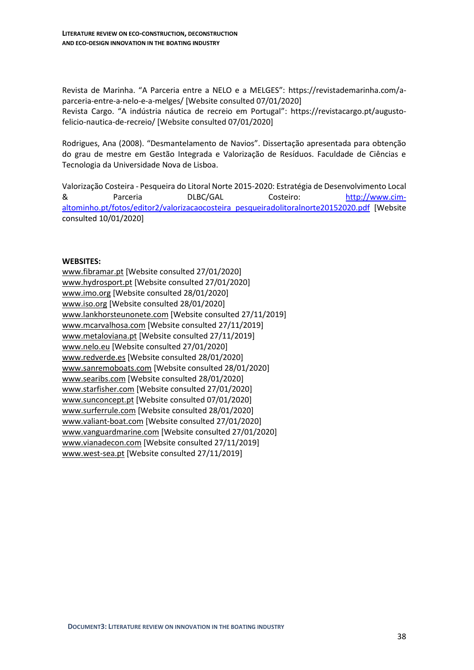Revista de Marinha. "A Parceria entre a NELO e a MELGES": [https://revistademarinha.com/a](https://revistademarinha.com/a-parceria-entre-a-nelo-e-a-melges/)[parceria-entre-a-nelo-e-a-melges/](https://revistademarinha.com/a-parceria-entre-a-nelo-e-a-melges/) [Website consulted 07/01/2020] Revista Cargo. "A indústria náutica de recreio em Portugal": [https://revistacargo.pt/augusto](https://revistacargo.pt/augusto-felicio-nautica-de-recreio/)[felicio-nautica-de-recreio/](https://revistacargo.pt/augusto-felicio-nautica-de-recreio/) [Website consulted 07/01/2020]

Rodrigues, Ana (2008). "Desmantelamento de Navios". Dissertação apresentada para obtenção do grau de mestre em Gestão Integrada e Valorização de Resíduos. Faculdade de Ciências e Tecnologia da Universidade Nova de Lisboa.

Valorização Costeira - Pesqueira do Litoral Norte 2015-2020: Estratégia de Desenvolvimento Local & Parceria DLBC/GAL Costeiro: [http://www.cim](http://www.cim-altominho.pt/fotos/editor2/valorizacaocosteira_pesqueiradolitoralnorte20152020.pdf)[altominho.pt/fotos/editor2/valorizacaocosteira\\_pesqueiradolitoralnorte20152020.pdf](http://www.cim-altominho.pt/fotos/editor2/valorizacaocosteira_pesqueiradolitoralnorte20152020.pdf) [Website consulted 10/01/2020]

### **WEBSITES:**

[www.fibramar.pt](http://www.fibramar.pt/) [Website consulted 27/01/2020] [www.hydrosport.pt](http://www.hydrosport.pt/) [Website consulted 27/01/2020] [www.imo.org](http://www.imo.org/) [Website consulted 28/01/2020] [www.iso.org](http://www.iso.org/) [Website consulted 28/01/2020] [www.lankhorsteunonete.com](http://www.lankhorsteunonete.com/) [Website consulted 27/11/2019] [www.mcarvalhosa.com](http://www.mcarvalhosa.com/) [Website consulted 27/11/2019] [www.metaloviana.pt](http://www.metaloviana.pt/) [Website consulted 27/11/2019] [www.nelo.eu](http://www.nelo.eu/) [Website consulted 27/01/2020] [www.redverde.es](http://www.redverde.es/) [Website consulted 28/01/2020] [www.sanremoboats.com](http://www.sanremoboats.com/) [Website consulted 28/01/2020] [www.searibs.com](http://www.searibs.com/) [Website consulted 28/01/2020] [www.starfisher.com](http://www.starfisher.com/) [Website consulted 27/01/2020] [www.sunconcept.pt](http://www.sunconcept.pt/) [Website consulted 07/01/2020] [www.surferrule.com](http://www.surferrule.com/) [Website consulted 28/01/2020] [www.valiant-boat.com](http://www.valiant-boat.com/) [Website consulted 27/01/2020] [www.vanguardmarine.com](http://www.vanguardmarine.com/) [Website consulted 27/01/2020] [www.vianadecon.com](http://www.vianadecon.com/) [Website consulted 27/11/2019] [www.west-sea.pt](http://www.west-sea.pt/) [Website consulted 27/11/2019]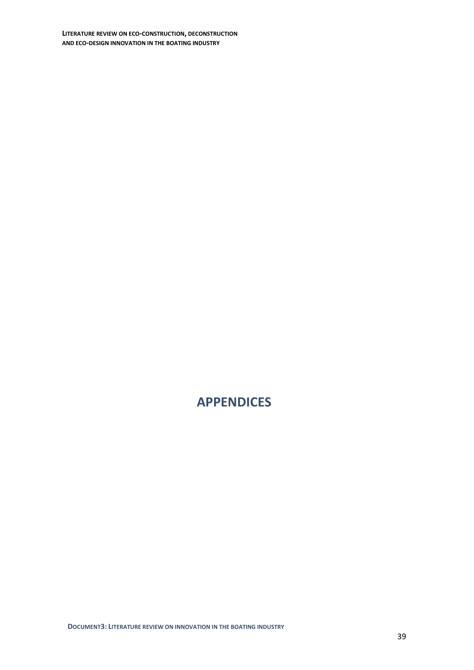**LITERATURE REVIEW ON ECO-CONSTRUCTION, DECONSTRUCTION AND ECO-DESIGN INNOVATION IN THE BOATING INDUSTRY**

## <span id="page-38-0"></span>**APPENDICES**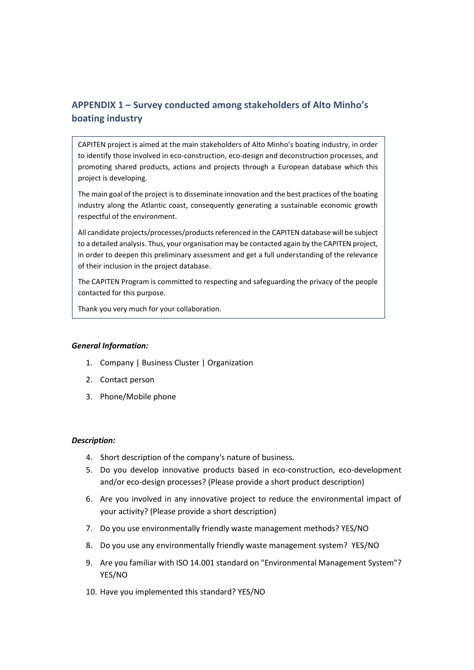## <span id="page-39-0"></span>**APPENDIX 1 – Survey conducted among stakeholders of Alto Minho's boating industry**

CAPITEN project is aimed at the main stakeholders of Alto Minho's boating industry, in order to identify those involved in eco-construction, eco-design and deconstruction processes, and promoting shared products, actions and projects through a European database which this project is developing.

The main goal of the project is to disseminate innovation and the best practices of the boating industry along the Atlantic coast, consequently generating a sustainable economic growth respectful of the environment.

All candidate projects/processes/products referenced in the CAPITEN database will be subject to a detailed analysis. Thus, your organisation may be contacted again by the CAPITEN project, in order to deepen this preliminary assessment and get a full understanding of the relevance of their inclusion in the project database.

The CAPITEN Program is committed to respecting and safeguarding the privacy of the people contacted for this purpose.

Thank you very much for your collaboration.

#### *General Information:*

- 1. Company | Business Cluster | Organization
- 2. Contact person
- 3. Phone/Mobile phone

#### *Description:*

- 4. Short description of the company's nature of business.
- 5. Do you develop innovative products based in eco-construction, eco-development and/or eco-design processes? (Please provide a short product description)
- 6. Are you involved in any innovative project to reduce the environmental impact of your activity? (Please provide a short description)
- 7. Do you use environmentally friendly waste management methods? YES/NO
- 8. Do you use any environmentally friendly waste management system? YES/NO
- 9. Are you familiar with ISO 14.001 standard on "Environmental Management System"? YES/NO
- 10. Have you implemented this standard? YES/NO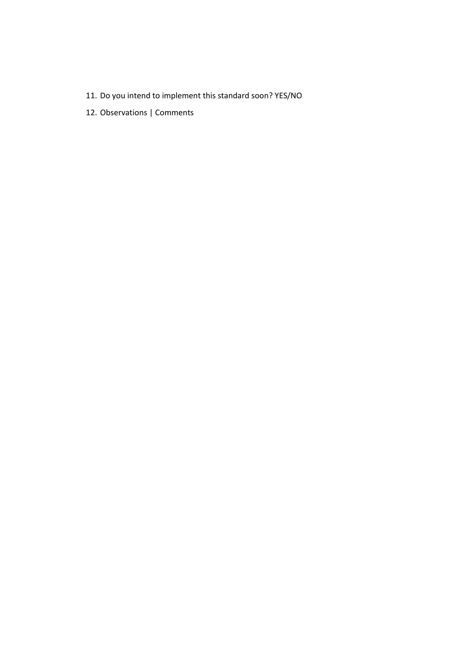- 11. Do you intend to implement this standard soon? YES/NO
- 12. Observations | Comments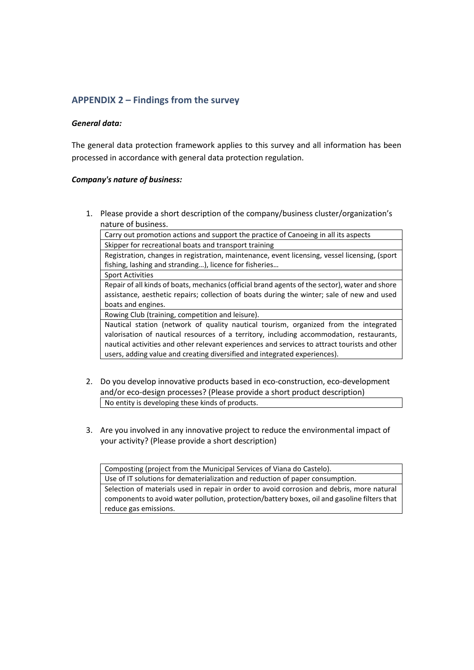## <span id="page-41-0"></span>**APPENDIX 2 – Findings from the survey**

### *General data:*

The general data protection framework applies to this survey and all information has been processed in accordance with general data protection regulation.

#### *Company's nature of business:*

1. Please provide a short description of the company/business cluster/organization's nature of business.

Carry out promotion actions and support the practice of Canoeing in all its aspects Skipper for recreational boats and transport training

Registration, changes in registration, maintenance, event licensing, vessel licensing, (sport fishing, lashing and stranding…), licence for fisheries…

Sport Activities

Repair of all kinds of boats, mechanics (official brand agents of the sector), water and shore assistance, aesthetic repairs; collection of boats during the winter; sale of new and used boats and engines.

Rowing Club (training, competition and leisure).

Nautical station (network of quality nautical tourism, organized from the integrated valorisation of nautical resources of a territory, including accommodation, restaurants, nautical activities and other relevant experiences and services to attract tourists and other users, adding value and creating diversified and integrated experiences).

- 2. Do you develop innovative products based in eco-construction, eco-development and/or eco-design processes? (Please provide a short product description) No entity is developing these kinds of products.
- 3. Are you involved in any innovative project to reduce the environmental impact of your activity? (Please provide a short description)

Composting (project from the Municipal Services of Viana do Castelo).

Use of IT solutions for dematerialization and reduction of paper consumption.

Selection of materials used in repair in order to avoid corrosion and debris, more natural components to avoid water pollution, protection/battery boxes, oil and gasoline filters that reduce gas emissions.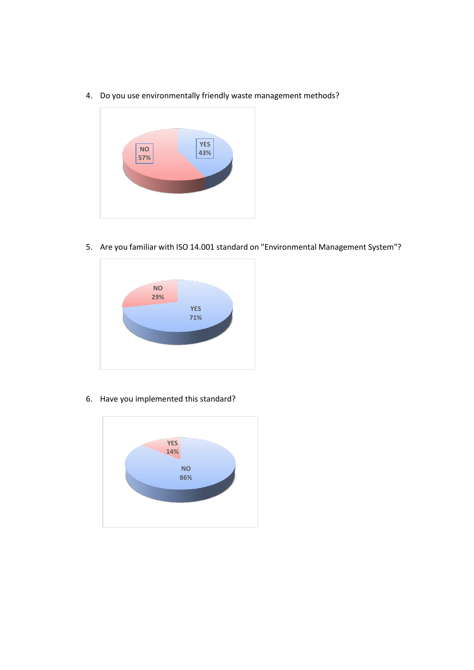4. Do you use environmentally friendly waste management methods?



5. Are you familiar with ISO 14.001 standard on "Environmental Management System"?



6. Have you implemented this standard?